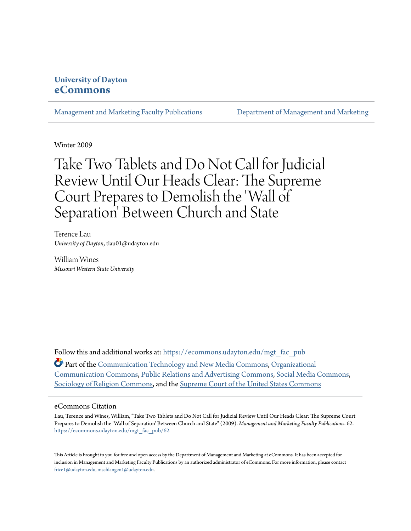## **University of Dayton [eCommons](https://ecommons.udayton.edu?utm_source=ecommons.udayton.edu%2Fmgt_fac_pub%2F62&utm_medium=PDF&utm_campaign=PDFCoverPages)**

[Management and Marketing Faculty Publications](https://ecommons.udayton.edu/mgt_fac_pub?utm_source=ecommons.udayton.edu%2Fmgt_fac_pub%2F62&utm_medium=PDF&utm_campaign=PDFCoverPages) [Department of Management and Marketing](https://ecommons.udayton.edu/mgt?utm_source=ecommons.udayton.edu%2Fmgt_fac_pub%2F62&utm_medium=PDF&utm_campaign=PDFCoverPages)

Winter 2009

# Take Two Tablets and Do Not Call for Judicial Review Until Our Heads Clear: The Supreme Court Prepares to Demolish the 'Wall of Separation' Between Church and State

Terence Lau *University of Dayton*, tlau01@udayton.edu

William Wines *Missouri Western State University*

Follow this and additional works at: [https://ecommons.udayton.edu/mgt\\_fac\\_pub](https://ecommons.udayton.edu/mgt_fac_pub?utm_source=ecommons.udayton.edu%2Fmgt_fac_pub%2F62&utm_medium=PDF&utm_campaign=PDFCoverPages)

Part of the [Communication Technology and New Media Commons](http://network.bepress.com/hgg/discipline/327?utm_source=ecommons.udayton.edu%2Fmgt_fac_pub%2F62&utm_medium=PDF&utm_campaign=PDFCoverPages), [Organizational](http://network.bepress.com/hgg/discipline/335?utm_source=ecommons.udayton.edu%2Fmgt_fac_pub%2F62&utm_medium=PDF&utm_campaign=PDFCoverPages) [Communication Commons,](http://network.bepress.com/hgg/discipline/335?utm_source=ecommons.udayton.edu%2Fmgt_fac_pub%2F62&utm_medium=PDF&utm_campaign=PDFCoverPages) [Public Relations and Advertising Commons](http://network.bepress.com/hgg/discipline/336?utm_source=ecommons.udayton.edu%2Fmgt_fac_pub%2F62&utm_medium=PDF&utm_campaign=PDFCoverPages), [Social Media Commons,](http://network.bepress.com/hgg/discipline/1249?utm_source=ecommons.udayton.edu%2Fmgt_fac_pub%2F62&utm_medium=PDF&utm_campaign=PDFCoverPages) [Sociology of Religion Commons,](http://network.bepress.com/hgg/discipline/1365?utm_source=ecommons.udayton.edu%2Fmgt_fac_pub%2F62&utm_medium=PDF&utm_campaign=PDFCoverPages) and the [Supreme Court of the United States Commons](http://network.bepress.com/hgg/discipline/1350?utm_source=ecommons.udayton.edu%2Fmgt_fac_pub%2F62&utm_medium=PDF&utm_campaign=PDFCoverPages)

## eCommons Citation

Lau, Terence and Wines, William, "Take Two Tablets and Do Not Call for Judicial Review Until Our Heads Clear: The Supreme Court Prepares to Demolish the 'Wall of Separation' Between Church and State" (2009). *Management and Marketing Faculty Publications*. 62. [https://ecommons.udayton.edu/mgt\\_fac\\_pub/62](https://ecommons.udayton.edu/mgt_fac_pub/62?utm_source=ecommons.udayton.edu%2Fmgt_fac_pub%2F62&utm_medium=PDF&utm_campaign=PDFCoverPages)

This Article is brought to you for free and open access by the Department of Management and Marketing at eCommons. It has been accepted for inclusion in Management and Marketing Faculty Publications by an authorized administrator of eCommons. For more information, please contact [frice1@udayton.edu, mschlangen1@udayton.edu.](mailto:frice1@udayton.edu,%20mschlangen1@udayton.edu)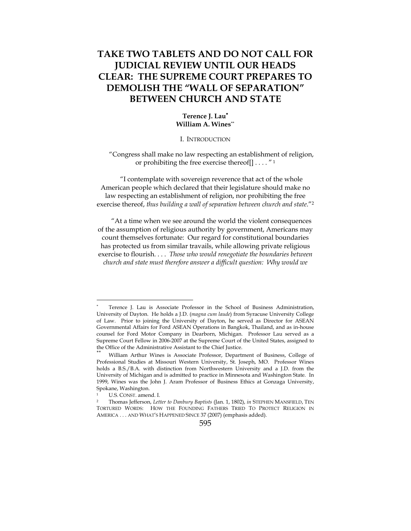# **TAKE TWO TABLETS AND DO NOT CALL FOR JUDICIAL REVIEW UNTIL OUR HEADS CLEAR: THE SUPREME COURT PREPARES TO DEMOLISH THE "WALL OF SEPARATION" BETWEEN CHURCH AND STATE**

## **Terence J. Lau**<sup>∗</sup> **William A. Wines**\*\*

#### I. INTRODUCTION

"Congress shall make no law respecting an establishment of religion, or prohibiting the free exercise thereof[] . . . . " 1

"I contemplate with sovereign reverence that act of the whole American people which declared that their legislature should make no law respecting an establishment of religion, nor prohibiting the free exercise thereof, *thus building a wall of separation between church and state*."2

"At a time when we see around the world the violent consequences of the assumption of religious authority by government, Americans may count themselves fortunate: Our regard for constitutional boundaries has protected us from similar travails, while allowing private religious exercise to flourish. . . . *Those who would renegotiate the boundaries between church and state must therefore answer a difficult question: Why would we* 

<sup>∗</sup> Terence J. Lau is Associate Professor in the School of Business Administration, University of Dayton. He holds a J.D. (*magna cum laude*) from Syracuse University College of Law. Prior to joining the University of Dayton, he served as Director for ASEAN Governmental Affairs for Ford ASEAN Operations in Bangkok, Thailand, and as in-house counsel for Ford Motor Company in Dearborn, Michigan. Professor Lau served as a Supreme Court Fellow in 2006-2007 at the Supreme Court of the United States, assigned to the Office of the Administrative Assistant to the Chief Justice.

William Arthur Wines is Associate Professor, Department of Business, College of Professional Studies at Missouri Western University, St. Joseph, MO. Professor Wines holds a B.S./B.A. with distinction from Northwestern University and a J.D. from the University of Michigan and is admitted to practice in Minnesota and Washington State. In 1999, Wines was the John J. Aram Professor of Business Ethics at Gonzaga University, Spokane, Washington.

<sup>1</sup> U.S. CONST. amend. I. 2 Thomas Jefferson, *Letter to Danbury Baptists* (Jan. 1, 1802), *in* STEPHEN MANSFIELD, TEN TORTURED WORDS: HOW THE FOUNDING FATHERS TRIED TO PROTECT RELIGION IN AMERICA . . . AND WHAT'S HAPPENED SINCE 37 (2007) (emphasis added).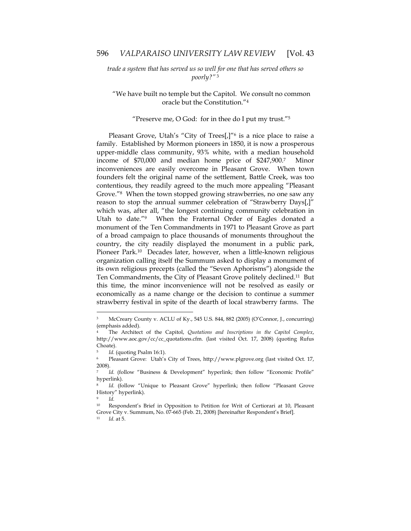*trade a system that has served us so well for one that has served others so poorly?"*<sup>3</sup>

"We have built no temple but the Capitol. We consult no common oracle but the Constitution."4

"Preserve me, O God: for in thee do I put my trust."5

Pleasant Grove, Utah's "City of Trees[,]"<sup>6</sup> is a nice place to raise a family. Established by Mormon pioneers in 1850, it is now a prosperous upper-middle class community, 93% white, with a median household income of \$70,000 and median home price of \$247,900.7 Minor inconveniences are easily overcome in Pleasant Grove. When town founders felt the original name of the settlement, Battle Creek, was too contentious, they readily agreed to the much more appealing "Pleasant Grove."8 When the town stopped growing strawberries, no one saw any reason to stop the annual summer celebration of "Strawberry Days[,]" which was, after all, "the longest continuing community celebration in Utah to date."9 When the Fraternal Order of Eagles donated a monument of the Ten Commandments in 1971 to Pleasant Grove as part of a broad campaign to place thousands of monuments throughout the country, the city readily displayed the monument in a public park, Pioneer Park.<sup>10</sup> Decades later, however, when a little-known religious organization calling itself the Summum asked to display a monument of its own religious precepts (called the "Seven Aphorisms") alongside the Ten Commandments, the City of Pleasant Grove politely declined.11 But this time, the minor inconvenience will not be resolved as easily or economically as a name change or the decision to continue a summer strawberry festival in spite of the dearth of local strawberry farms. The

<sup>3</sup> McCreary County v. ACLU of Ky., 545 U.S. 844, 882 (2005) (O'Connor, J., concurring) (emphasis added).

<sup>4</sup> The Architect of the Capitol, *Quotations and Inscriptions in the Capitol Complex*, http://www.aoc.gov/cc/cc\_quotations.cfm. (last visited Oct. 17, 2008) (quoting Rufus Choate).

<sup>5</sup> *Id.* (quoting Psalm 16:1).

<sup>6</sup> Pleasant Grove: Utah's City of Trees, http://www.plgrove.org (last visited Oct. 17, 2008).

<sup>7</sup> *Id.* (follow "Business & Development" hyperlink; then follow "Economic Profile" hyperlink).

<sup>&</sup>lt;sup>8</sup> *Id.* (follow "Unique to Pleasant Grove" hyperlink; then follow "Pleasant Grove History" hyperlink).

<sup>9</sup> *Id.*

<sup>10</sup> Respondent's Brief in Opposition to Petition for Writ of Certiorari at 10, Pleasant Grove City v. Summum, No. 07-665 (Feb. 21, 2008) [hereinafter Respondent's Brief].

*Id.* at 5.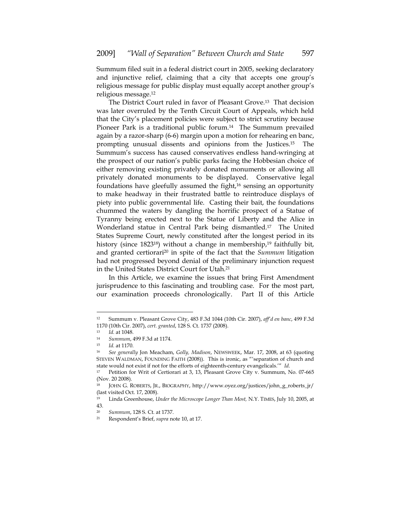Summum filed suit in a federal district court in 2005, seeking declaratory and injunctive relief, claiming that a city that accepts one group's religious message for public display must equally accept another group's religious message.12

The District Court ruled in favor of Pleasant Grove.13 That decision was later overruled by the Tenth Circuit Court of Appeals, which held that the City's placement policies were subject to strict scrutiny because Pioneer Park is a traditional public forum.<sup>14</sup> The Summum prevailed again by a razor-sharp (6-6) margin upon a motion for rehearing en banc, prompting unusual dissents and opinions from the Justices.15 The Summum's success has caused conservatives endless hand-wringing at the prospect of our nation's public parks facing the Hobbesian choice of either removing existing privately donated monuments or allowing all privately donated monuments to be displayed. Conservative legal foundations have gleefully assumed the fight,<sup>16</sup> sensing an opportunity to make headway in their frustrated battle to reintroduce displays of piety into public governmental life. Casting their bait, the foundations chummed the waters by dangling the horrific prospect of a Statue of Tyranny being erected next to the Statue of Liberty and the Alice in Wonderland statue in Central Park being dismantled.17 The United States Supreme Court, newly constituted after the longest period in its history (since  $1823^{18}$ ) without a change in membership,<sup>19</sup> faithfully bit, and granted certiorari20 in spite of the fact that the *Summum* litigation had not progressed beyond denial of the preliminary injunction request in the United States District Court for Utah.21

In this Article, we examine the issues that bring First Amendment jurisprudence to this fascinating and troubling case. For the most part, our examination proceeds chronologically. Part II of this Article

<sup>12</sup> Summum v. Pleasant Grove City, 483 F.3d 1044 (10th Cir. 2007), *aff'd en banc*, 499 F.3d 1170 (10th Cir. 2007), *cert. granted*, 128 S. Ct. 1737 (2008). 13 *Id.* at 1048. 14 *Summum*, 499 F.3d at 1174.

<sup>15</sup> *Id.* at 1170. 16 *See generally* Jon Meacham, *Golly, Madison*, NEWSWEEK, Mar. 17, 2008, at 63 (quoting STEVEN WALDMAN, FOUNDING FAITH (2008)). This is ironic, as "'separation of church and state would not exist if not for the efforts of eighteenth-century evangelicals.'" *Id.*

<sup>&</sup>lt;sup>17</sup> Petition for Writ of Certiorari at 3, 13, Pleasant Grove City v. Summum, No. 07-665 (Nov. 20 2008).

<sup>18</sup> JOHN G. ROBERTS, JR., BIOGRAPHY, http://www.oyez.org/justices/john\_g\_roberts\_jr/ (last visited Oct. 17, 2008).

<sup>19</sup> Linda Greenhouse, *Under the Microscope Longer Than Most,* N.Y. TIMES, July 10, 2005, at 43.

<sup>20</sup> *Summum*, 128 S. Ct. at 1737. 21 Respondent's Brief, *supra* note 10, at 17.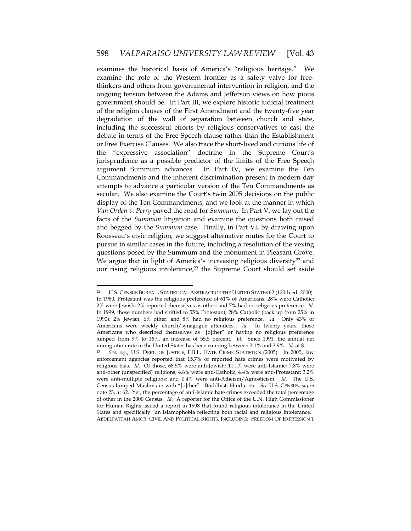examines the historical basis of America's "religious heritage." We examine the role of the Western frontier as a safety valve for freethinkers and others from governmental intervention in religion, and the ongoing tension between the Adams and Jefferson views on how pious government should be. In Part III, we explore historic judicial treatment of the religion clauses of the First Amendment and the twenty-five year degradation of the wall of separation between church and state, including the successful efforts by religious conservatives to cast the debate in terms of the Free Speech clause rather than the Establishment or Free Exercise Clauses. We also trace the short-lived and curious life of the "expressive association" doctrine in the Supreme Court's jurisprudence as a possible predictor of the limits of the Free Speech argument Summum advances. In Part IV, we examine the Ten Commandments and the inherent discrimination present in modern-day attempts to advance a particular version of the Ten Commandments as secular. We also examine the Court's twin 2005 decisions on the public display of the Ten Commandments, and we look at the manner in which *Van Orden v. Perry* paved the road for *Summum.* In Part V, we lay out the facts of the *Summum* litigation and examine the questions both raised and begged by the *Summum* case. Finally, in Part VI, by drawing upon Rousseau's civic religion, we suggest alternative routes for the Court to pursue in similar cases in the future, including a resolution of the vexing questions posed by the Summum and the monument in Pleasant Grove. We argue that in light of America's increasing religious diversity<sup>22</sup> and our rising religious intolerance,<sup>23</sup> the Supreme Court should set aside

<sup>22</sup> U.S. CENSUS BUREAU, STATISTICAL ABSTRACT OF THE UNITED STATES 62 (120th ed. 2000). In 1980, Protestant was the religious preference of 61% of Americans; 28% were Catholic; 2% were Jewish; 2% reported themselves as other; and 7% had no religious preference. *Id.* In 1999, those numbers had shifted to 55% Protestant; 28% Catholic (back up from 25% in 1990); 2% Jewish; 6% other; and 8% had no religious preference. *Id.* Only 43% of Americans were weekly church/synagogue attendees. *Id.* In twenty years, those Americans who described themselves as "[o]ther" or having no religious preference jumped from 9% to 16%, an increase of 55.5 percent. *Id.* Since 1991, the annual net immigration rate in the United States has been running between 3.1% and 3.9%*. Id.* at 8.

<sup>23</sup> *See, e.g.*, U.S. DEPT. OF JUSTICE, F.B.I., HATE CRIME STATISTICS (2005). In 2005, law enforcement agencies reported that 15.7% of reported hate crimes were motivated by religious bias. *Id.* Of those, 68.5% were anti-Jewish; 11.1% were anti-Islamic; 7.8% were anti-other (unspecified) religions; 4.6% were anti-Catholic; 4.4% were anti-Protestant; 3.2% were anti-multiple religions; and 0.4% were anti-Atheism/Agnosticism. *Id.* The U.S. Census lumped Muslims in with "[o]ther"—Buddhist, Hindu, etc. *See* U.S. CENSUS, *supra*  note 23, at 62*.* Yet, the percentage of anti-Islamic hate crimes exceeded the total percentage of other in the 2000 Census. *Id.* A reporter for the Office of the U.N. High Commissioner for Human Rights issued a report in 1998 that found religious intolerance in the United States and specifically "an islamophobia reflecting both racial and religious intolerance." ABDELFATTAH AMOR, CIVIL AND POLITICAL RIGHTS, INCLUDING: FREEDOM OF EXPRESSION 1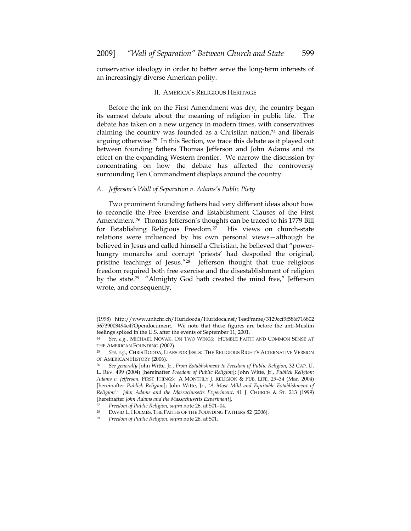conservative ideology in order to better serve the long-term interests of an increasingly diverse American polity.

## II. AMERICA'S RELIGIOUS HERITAGE

Before the ink on the First Amendment was dry, the country began its earnest debate about the meaning of religion in public life. The debate has taken on a new urgency in modern times, with conservatives claiming the country was founded as a Christian nation, $24$  and liberals arguing otherwise.25 In this Section, we trace this debate as it played out between founding fathers Thomas Jefferson and John Adams and its effect on the expanding Western frontier. We narrow the discussion by concentrating on how the debate has affected the controversy surrounding Ten Commandment displays around the country.

## *A. Jefferson's Wall of Separation v. Adams's Public Piety*

Two prominent founding fathers had very different ideas about how to reconcile the Free Exercise and Establishment Clauses of the First Amendment.26 Thomas Jefferson's thoughts can be traced to his 1779 Bill for Establishing Religious Freedom.27 His views on church-state relations were influenced by his own personal views—although he believed in Jesus and called himself a Christian, he believed that "powerhungry monarchs and corrupt 'priests' had despoiled the original, pristine teachings of Jesus."28 Jefferson thought that true religious freedom required both free exercise and the disestablishment of religion by the state.29 "Almighty God hath created the mind free," Jefferson wrote, and consequently,

<u>.</u>

<sup>(1998)</sup> http://www.unhchr.ch/Huridocda/Huridoca.nsf/TestFrame/3129ccf9f586f716802 56739003494e4?Opendocument. We note that these figures are before the anti-Muslim feelings spiked in the U.S. after the events of September 11, 2001.

<sup>24</sup> *See, e.g.*, MICHAEL NOVAK, ON TWO WINGS: HUMBLE FAITH AND COMMON SENSE AT THE AMERICAN FOUNDING (2002).<br><sup>25</sup> *See, e.g., C*HRIS RODDA, LIARS FOR JESUS: THE RELIGIOUS RIGHT'S ALTERNATIVE VERSION

OF AMERICAN HISTORY (2006). 26 *See generally* John Witte, Jr., *From Establishment to Freedom of Public Religion,* 32 CAP. U.

L. REV. 499 (2004) [hereinafter *Freedom of Public Religion*]; John Witte, Jr., *Publick Religion: Adams v. Jefferson,* FIRST THINGS: A MONTHLY J. RELIGION & PUB. LIFE, 29–34 (Mar. 2004) [hereinafter *Publick Religion*]; John Witte, Jr., *'A Most Mild and Equitable Establishment of Religion': John Adams and the Massachusetts Experiment*, 41 J. CHURCH & ST. 213 (1999) [hereinafter *John Adams and the Massachusetts Experiment*].

<sup>27</sup> *Freedom of Public Religion, supra* note 26, at 501–04.

<sup>28</sup> DAVID L. HOLMES, THE FAITHS OF THE FOUNDING FATHERS 82 (2006). 29 *Freedom of Public Religion, supra* note 26, at 501.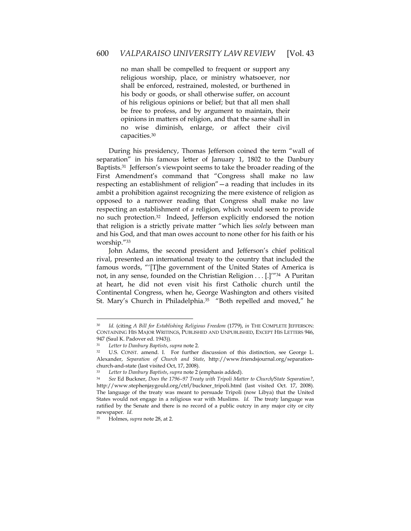no man shall be compelled to frequent or support any religious worship, place, or ministry whatsoever, nor shall be enforced, restrained, molested, or burthened in his body or goods, or shall otherwise suffer, on account of his religious opinions or belief; but that all men shall be free to profess, and by argument to maintain, their opinions in matters of religion, and that the same shall in no wise diminish, enlarge, or affect their civil capacities.30

During his presidency, Thomas Jefferson coined the term "wall of separation" in his famous letter of January 1, 1802 to the Danbury Baptists.<sup>31</sup> Jefferson's viewpoint seems to take the broader reading of the First Amendment's command that "Congress shall make no law respecting an establishment of religion"—a reading that includes in its ambit a prohibition against recognizing the mere existence of religion as opposed to a narrower reading that Congress shall make no law respecting an establishment of *a* religion, which would seem to provide no such protection.32 Indeed, Jefferson explicitly endorsed the notion that religion is a strictly private matter "which lies *solely* between man and his God, and that man owes account to none other for his faith or his worship."33

John Adams, the second president and Jefferson's chief political rival, presented an international treaty to the country that included the famous words, "'[T]he government of the United States of America is not, in any sense, founded on the Christian Religion . . . [.]'"34 A Puritan at heart, he did not even visit his first Catholic church until the Continental Congress, when he, George Washington and others visited St. Mary's Church in Philadelphia.<sup>35</sup> "Both repelled and moved," he

<sup>30</sup> *Id.* (citing *A Bill for Establishing Religious Freedom* (1779), *in* THE COMPLETE JEFFERSON: CONTAINING HIS MAJOR WRITINGS, PUBLISHED AND UNPUBLISHED, EXCEPT HIS LETTERS 946, 947 (Saul K. Padover ed. 1943)).

<sup>31</sup> *Letter to Danbury Baptists*, *supra* note 2. 32 U.S. CONST. amend. I. For further discussion of this distinction, see George L. Alexander, *Separation of Church and State*, http://www.friendsjournal.org/separationchurch-and-state (last visited Oct, 17, 2008).

<sup>33</sup> *Letter to Danbury Baptists*, *supra* note 2 (emphasis added). 34 *See* Ed Buckner, *Does the 1796–97 Treaty with Tripoli Matter to Church/State Separation?*, http://www.stephenjaygould.org/ctrl/buckner\_tripoli.html (last visited Oct. 17, 2008). The language of the treaty was meant to persuade Tripoli (now Libya) that the United States would not engage in a religious war with Muslims. *Id.* The treaty language was ratified by the Senate and there is no record of a public outcry in any major city or city newspaper. *Id.* 

<sup>35</sup> Holmes, *supra* note 28, at 2.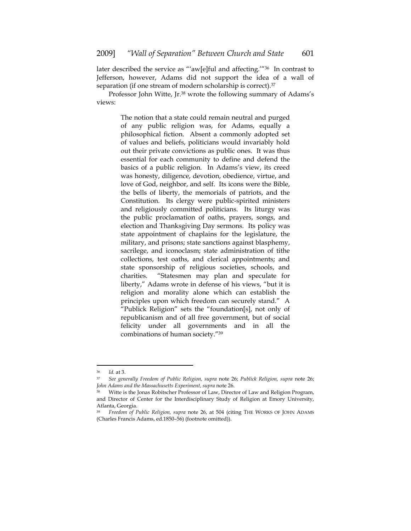later described the service as "'aw[e]ful and affecting.'"<sup>36</sup> In contrast to Jefferson, however, Adams did not support the idea of a wall of separation (if one stream of modern scholarship is correct).<sup>37</sup>

Professor John Witte, Jr.<sup>38</sup> wrote the following summary of Adams's views:

> The notion that a state could remain neutral and purged of any public religion was, for Adams, equally a philosophical fiction. Absent a commonly adopted set of values and beliefs, politicians would invariably hold out their private convictions as public ones. It was thus essential for each community to define and defend the basics of a public religion. In Adams's view, its creed was honesty, diligence, devotion, obedience, virtue, and love of God, neighbor, and self. Its icons were the Bible, the bells of liberty, the memorials of patriots, and the Constitution. Its clergy were public-spirited ministers and religiously committed politicians. Its liturgy was the public proclamation of oaths, prayers, songs, and election and Thanksgiving Day sermons. Its policy was state appointment of chaplains for the legislature, the military, and prisons; state sanctions against blasphemy, sacrilege, and iconoclasm; state administration of tithe collections, test oaths, and clerical appointments; and state sponsorship of religious societies, schools, and charities. "Statesmen may plan and speculate for liberty," Adams wrote in defense of his views, "but it is religion and morality alone which can establish the principles upon which freedom can securely stand." A "Publick Religion" sets the "foundation[s], not only of republicanism and of all free government, but of social felicity under all governments and in all the combinations of human society."39

<sup>36</sup> *Id.* at 3. 37 *See generally Freedom of Public Religion, supra* note 26; *Publick Religion, supra* note 26; *John Adams and the Massachusetts Experiment, supra* note 26.

Witte is the Jonas Robitscher Professor of Law, Director of Law and Religion Program, and Director of Center for the Interdisciplinary Study of Religion at Emory University, Atlanta, Georgia.

<sup>39</sup> *Freedom of Public Religion, supra* note 26, at 504 (citing THE WORKS OF JOHN ADAMS (Charles Francis Adams, ed.1850–56) (footnote omitted)).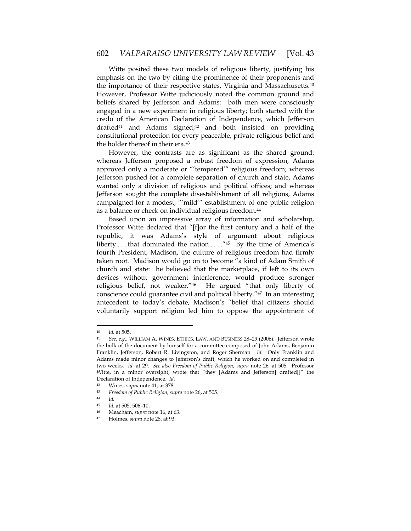Witte posited these two models of religious liberty, justifying his emphasis on the two by citing the prominence of their proponents and the importance of their respective states, Virginia and Massachusetts.<sup>40</sup> However, Professor Witte judiciously noted the common ground and beliefs shared by Jefferson and Adams: both men were consciously engaged in a new experiment in religious liberty; both started with the credo of the American Declaration of Independence, which Jefferson drafted<sup>41</sup> and Adams signed;<sup>42</sup> and both insisted on providing constitutional protection for every peaceable, private religious belief and the holder thereof in their era.43

However, the contrasts are as significant as the shared ground: whereas Jefferson proposed a robust freedom of expression, Adams approved only a moderate or "'tempered'" religious freedom; whereas Jefferson pushed for a complete separation of church and state, Adams wanted only a division of religious and political offices; and whereas Jefferson sought the complete disestablishment of all religions, Adams campaigned for a modest, "'mild'" establishment of one public religion as a balance or check on individual religious freedom.44

Based upon an impressive array of information and scholarship, Professor Witte declared that "[f]or the first century and a half of the republic, it was Adams's style of argument about religious liberty ... that dominated the nation  $\dots$ ."<sup>45</sup> By the time of America's fourth President, Madison, the culture of religious freedom had firmly taken root. Madison would go on to become "a kind of Adam Smith of church and state: he believed that the marketplace, if left to its own devices without government interference, would produce stronger religious belief, not weaker."46 He argued "that only liberty of conscience could guarantee civil and political liberty."47 In an interesting antecedent to today's debate, Madison's "belief that citizens should voluntarily support religion led him to oppose the appointment of

<sup>40</sup> *Id.* at 505. 41 *See, e.g.*, WILLIAM A. WINES, ETHICS, LAW, AND BUSINESS 28–29 (2006). Jefferson wrote the bulk of the document by himself for a committee composed of John Adams, Benjamin Franklin, Jefferson, Robert R. Livingston, and Roger Sherman. *Id.* Only Franklin and Adams made minor changes to Jefferson's draft, which he worked on and completed in two weeks. *Id.* at 29. *See also Freedom of Public Religion, supra* note 26, at 505. Professor Witte, in a minor oversight, wrote that "they [Adams and Jefferson] drafted[]" the Declaration of Independence. *Id*.

<sup>42</sup> Wines, *supra* note 41*,* at 378.

<sup>43</sup> *Freedom of Public Religion, supra* note 26, at 505. 44 *Id.*

Id. at 505, 506-10.

<sup>46</sup> Meacham, *supra* note 16*,* at 63. 47 Holmes, *supra* note 28, at 93.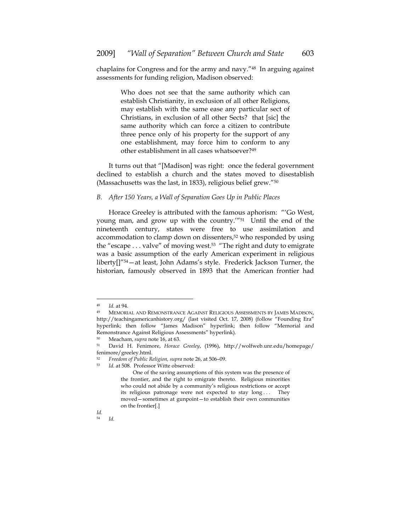chaplains for Congress and for the army and navy."48 In arguing against assessments for funding religion, Madison observed:

> Who does not see that the same authority which can establish Christianity, in exclusion of all other Religions, may establish with the same ease any particular sect of Christians, in exclusion of all other Sects? that [sic] the same authority which can force a citizen to contribute three pence only of his property for the support of any one establishment, may force him to conform to any other establishment in all cases whatsoever?49

It turns out that "[Madison] was right: once the federal government declined to establish a church and the states moved to disestablish (Massachusetts was the last, in 1833), religious belief grew."50

#### *B. After 150 Years, a Wall of Separation Goes Up in Public Places*

Horace Greeley is attributed with the famous aphorism: "'Go West, young man, and grow up with the country.'"51 Until the end of the nineteenth century, states were free to use assimilation and accommodation to clamp down on dissenters,52 who responded by using the "escape . . . valve" of moving west.53 "The right and duty to emigrate was a basic assumption of the early American experiment in religious liberty[]"54—at least, John Adams's style. Frederick Jackson Turner, the historian, famously observed in 1893 that the American frontier had

<sup>&</sup>lt;sup>48</sup> *Id.* at 94.<br><sup>49</sup> MEMORIAL AND REMONSTRANCE AGAINST RELIGIOUS ASSESSMENTS BY JAMES MADISON, http://teachingamericanhistory.org/ (last visited Oct. 17, 2008) (follow "Founding Era" hyperlink; then follow "James Madison" hyperlink; then follow "Memorial and Remonstrance Against Religious Assessments" hyperlink).<br><sup>50</sup> Meacham *sunta* note 16, at 63

<sup>50</sup> Meacham, *supra* note 16, at 63. 51 David H. Fenimore, *Horace Greeley*, (1996), http://wolfweb.unr.edu/homepage/ fenimore/greeley.html.

<sup>52</sup> *Freedom of Public Religion, supra* note 26, at 506–09. 53 *Id.* at 508. Professor Witte observed:

One of the saving assumptions of this system was the presence of the frontier, and the right to emigrate thereto. Religious minorities who could not abide by a community's religious restrictions or accept its religious patronage were not expected to stay long . . . They moved—sometimes at gunpoint—to establish their own communities on the frontier[.]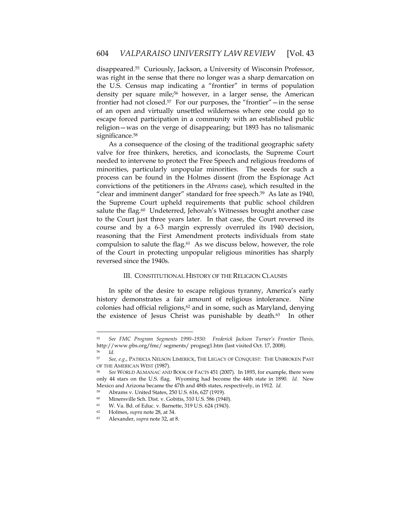disappeared.55 Curiously, Jackson, a University of Wisconsin Professor, was right in the sense that there no longer was a sharp demarcation on the U.S. Census map indicating a "frontier" in terms of population density per square mile;<sup>56</sup> however, in a larger sense, the American frontier had not closed.<sup>57</sup> For our purposes, the "frontier"  $-$  in the sense of an open and virtually unsettled wilderness where one could go to escape forced participation in a community with an established public religion—was on the verge of disappearing; but 1893 has no talismanic significance.<sup>58</sup>

As a consequence of the closing of the traditional geographic safety valve for free thinkers, heretics, and iconoclasts, the Supreme Court needed to intervene to protect the Free Speech and religious freedoms of minorities, particularly unpopular minorities. The seeds for such a process can be found in the Holmes dissent (from the Espionage Act convictions of the petitioners in the *Abrams* case), which resulted in the "clear and imminent danger" standard for free speech.<sup>59</sup> As late as 1940, the Supreme Court upheld requirements that public school children salute the flag.<sup>60</sup> Undeterred, Jehovah's Witnesses brought another case to the Court just three years later. In that case, the Court reversed its course and by a 6-3 margin expressly overruled its 1940 decision, reasoning that the First Amendment protects individuals from state compulsion to salute the flag.61 As we discuss below, however, the role of the Court in protecting unpopular religious minorities has sharply reversed since the 1940s.

## III. CONSTITUTIONAL HISTORY OF THE RELIGION CLAUSES

In spite of the desire to escape religious tyranny, America's early history demonstrates a fair amount of religious intolerance. Nine colonies had official religions,<sup>62</sup> and in some, such as Maryland, denying the existence of Jesus Christ was punishable by death.63 In other

<sup>55</sup> *See FMC Program Segments 1990–1930: Frederick Jackson Turner's Frontier Thesis,* http://www.pbs.org/fmc/ segments/ progseg1.htm (last visited Oct. 17, 2008).

<sup>56</sup> *Id.* 

<sup>57</sup> *See, e.g.*, PATRICIA NELSON LIMERICK, THE LEGACY OF CONQUEST: THE UNBROKEN PAST

See WORLD ALMANAC AND BOOK OF FACTS 451 (2007). In 1893, for example, there were only 44 stars on the U.S. flag. Wyoming had become the 44th state in 1890. *Id.* New Mexico and Arizona became the 47th and 48th states, respectively, in 1912. *Id.* 

<sup>59</sup> Abrams v. United States, 250 U.S. 616, 627 (1919).

<sup>60</sup> Minersville Sch. Dist. v. Gobitis, 310 U.S. 586 (1940).<br>61 W. V.a. Bel. of Educ y. Barnotto, 319 U.S. 624 (1943).

W. Va. Bd. of Educ. v. Barnette, 319 U.S. 624 (1943).

<sup>62</sup> Holmes, *supra* note 28, at 34. 63 Alexander, *supra* note 32, at 8.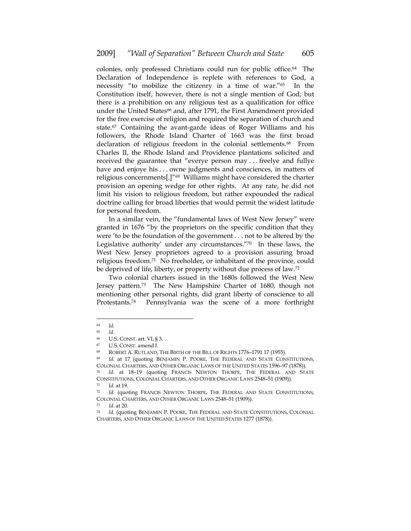colonies, only professed Christians could run for public office.64 The Declaration of Independence is replete with references to God, a necessity "to mobilize the citizenry in a time of war."65 In the Constitution itself, however, there is not a single mention of God; but there is a prohibition on any religious test as a qualification for office under the United States<sup>66</sup> and, after 1791, the First Amendment provided for the free exercise of religion and required the separation of church and state.67 Containing the avant-garde ideas of Roger Williams and his followers, the Rhode Island Charter of 1663 was the first broad declaration of religious freedom in the colonial settlements.<sup>68</sup> From Charles II, the Rhode Island and Providence plantations solicited and received the guarantee that "everye person may . . . freelye and fullye have and enjoye his . . . owne judgments and consciences, in matters of religious concernments[.]"69 Williams might have considered the charter provision an opening wedge for other rights. At any rate, he did not limit his vision to religious freedom, but rather expounded the radical doctrine calling for broad liberties that would permit the widest latitude for personal freedom.

In a similar vein, the "fundamental laws of West New Jersey" were granted in 1676 "by the proprietors on the specific condition that they were 'to be the foundation of the government . . . not to be altered by the Legislative authority' under any circumstances."70 In these laws, the West New Jersey proprietors agreed to a provision assuring broad religious freedom.71 No freeholder, or inhabitant of the province, could be deprived of life, liberty, or property without due process of law.72

Two colonial charters issued in the 1680s followed the West New Jersey pattern.73 The New Hampshire Charter of 1680, though not mentioning other personal rights, did grant liberty of conscience to all Protestants.74 Pennsylvania was the scene of a more forthright

<sup>64</sup> *Id.* 

<sup>65</sup> *Id.* 

<sup>&</sup>lt;sup>66</sup> U.S. CONST. art. VI, § 3.<br><sup>67</sup> U.S. CONST. amend I.

<sup>68</sup> ROBERT A. RUTLAND, THE BIRTH OF THE BILL OF RIGHTS 1776–1791 17 (1955).

<sup>69</sup> *Id*. at 17 (quoting BENJAMIN P. POORE, THE FEDERAL AND STATE CONSTITUTIONS, COLONIAL CHARTERS, AND OTHER ORGANIC LAWS OF THE UNITED STATES 1596–97 (1878)). 70 *Id.* at 18–19 (quoting FRANCIS NEWTON THORPE, THE FEDERAL AND STATE

CONSTITUTIONS, COLONIAL CHARTERS, AND OTHER ORGANIC LAWS 2548–51 (1909)).

<sup>71</sup> *Id.* at 19.

<sup>72</sup> *Id.* (quoting FRANCIS NEWTON THORPE, THE FEDERAL AND STATE CONSTITUTIONS, COLONIAL CHARTERS, AND OTHER ORGANIC LAWS 2548–51 (1909)). 73 *Id*. at 20.

<sup>74</sup> *Id.* (quoting BENJAMIN P. POORE, THE FEDERAL AND STATE CONSTITUTIONS, COLONIAL CHARTERS, AND OTHER ORGANIC LAWS OF THE UNITED STATES 1277 (1878)).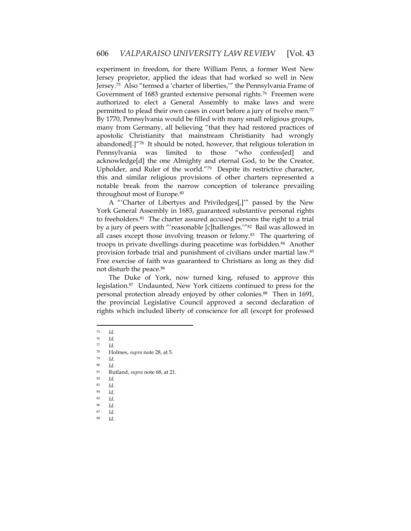experiment in freedom, for there William Penn, a former West New Jersey proprietor, applied the ideas that had worked so well in New Jersey.75 Also "termed a 'charter of liberties,'" the Pennsylvania Frame of Government of 1683 granted extensive personal rights.76 Freemen were authorized to elect a General Assembly to make laws and were permitted to plead their own cases in court before a jury of twelve men.<sup>77</sup> By 1770, Pennsylvania would be filled with many small religious groups, many from Germany, all believing "that they had restored practices of apostolic Christianity that mainstream Christianity had wrongly abandoned[.]"78 It should be noted, however, that religious toleration in Pennsylvania was limited to those "who confess[ed] and acknowledge[d] the one Almighty and eternal God, to be the Creator, Upholder, and Ruler of the world."79 Despite its restrictive character, this and similar religious provisions of other charters represented a notable break from the narrow conception of tolerance prevailing throughout most of Europe.80

A "'Charter of Libertyes and Priviledges[,]'" passed by the New York General Assembly in 1683, guaranteed substantive personal rights to freeholders.81 The charter assured accused persons the right to a trial by a jury of peers with "'reasonable [c]hallenges.'"82 Bail was allowed in all cases except those involving treason or felony.83 The quartering of troops in private dwellings during peacetime was forbidden.84 Another provision forbade trial and punishment of civilians under martial law.85 Free exercise of faith was guaranteed to Christians as long as they did not disturb the peace.86

The Duke of York, now turned king, refused to approve this legislation.87 Undaunted, New York citizens continued to press for the personal protection already enjoyed by other colonies.<sup>88</sup> Then in 1691, the provincial Legislative Council approved a second declaration of rights which included liberty of conscience for all (except for professed

- <sup>75</sup> *Id*. 76 *Id.*
- $\frac{77}{78}$  *Id.*

- <sup>79</sup> *Id.*
- $\begin{array}{cc} 80 & \text{Id.} \\ 81 & \text{R}_{11} \end{array}$

- 
- <sup>83</sup> *Id.*
- <sup>84</sup> *Id.* <sup>85</sup> *Id.*
- <sup>86</sup> *Id.*
- <sup>87</sup> *Id.*
- <sup>88</sup> *Id.*

<sup>78</sup> Holmes, *supra* note 28, at 5.

<sup>81</sup> Rutland, *supra* note 68, at 21. 82 *Id.*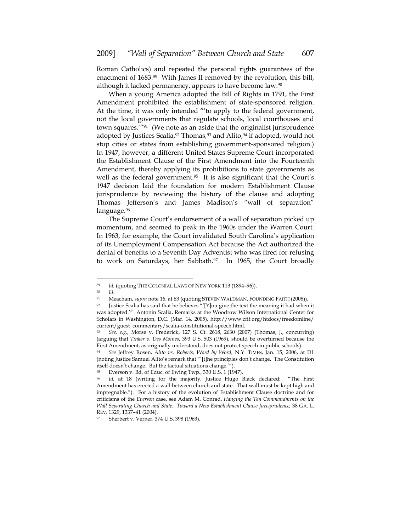Roman Catholics) and repeated the personal rights guarantees of the enactment of 1683.89 With James II removed by the revolution, this bill, although it lacked permanency, appears to have become law.<sup>90</sup>

When a young America adopted the Bill of Rights in 1791, the First Amendment prohibited the establishment of state-sponsored religion. At the time, it was only intended "'to apply to the federal government, not the local governments that regulate schools, local courthouses and town squares.'"91 (We note as an aside that the originalist jurisprudence adopted by Justices Scalia,<sup>92</sup> Thomas,<sup>93</sup> and Alito,<sup>94</sup> if adopted, would not stop cities or states from establishing government-sponsored religion.) In 1947, however, a different United States Supreme Court incorporated the Establishment Clause of the First Amendment into the Fourteenth Amendment, thereby applying its prohibitions to state governments as well as the federal government.<sup>95</sup> It is also significant that the Court's 1947 decision laid the foundation for modern Establishment Clause jurisprudence by reviewing the history of the clause and adopting Thomas Jefferson's and James Madison's "wall of separation" language.96

The Supreme Court's endorsement of a wall of separation picked up momentum, and seemed to peak in the 1960s under the Warren Court. In 1963, for example, the Court invalidated South Carolina's application of its Unemployment Compensation Act because the Act authorized the denial of benefits to a Seventh Day Adventist who was fired for refusing to work on Saturdays, her Sabbath.<sup>97</sup> In 1965, the Court broadly

<sup>89</sup> *Id.* (quoting THE COLONIAL LAWS OF NEW YORK 113 (1894–96)).

<sup>90</sup> *Id.* 

<sup>91</sup> Meacham, *supra* note 16, at 63 (quoting STEVEN WALDMAN, FOUNDING FAITH (2008)).

<sup>&</sup>lt;sup>92</sup> Justice Scalia has said that he believes "'[Y]ou give the text the meaning it had when it was adopted.'" Antonin Scalia, Remarks at the Woodrow Wilson International Center for Scholars in Washington, D.C. (Mar. 14, 2005), http://www.cfif.org/htdocs/freedomline/ current/guest\_commentary/scalia-constitutional-speech.html.

<sup>93</sup> *See, e.g.*, Morse v. Frederick, 127 S. Ct. 2618, 2630 (2007) (Thomas, J., concurring) (arguing that *Tinker v. Des Moines*, 393 U.S. 503 (1969), should be overturned because the First Amendment, as originally understood, does not protect speech in public schools). 94 *See* Jeffrey Rosen, *Alito vs. Roberts, Word by Word,* N.Y. TIMES, Jan. 15, 2006, at D1

<sup>(</sup>noting Justice Samuel Alito's remark that "'[t]he principles don't change. The Constitution itself doesn't change. But the factual situations change.'").<br><sup>95</sup> Everson v. Bd. of Educ. of Ewing Twp., 330 U.S. 1 (1947).

<sup>96</sup> *Id.* at 18 (writing for the majority, Justice Hugo Black declared: "The First Amendment has erected a wall between church and state. That wall must be kept high and impregnable."). For a history of the evolution of Establishment Clause doctrine and for criticisms of the *Everson* case, see Adam M. Conrad, *Hanging the Ten Commandments on the Wall Separating Church and State: Toward a New Establishment Clause Jurisprudence,* 38 GA. L. REV. 1329, 1337–41 (2004).<br><sup>97</sup> Sherbert v. Verner, 374 U.S. 398 (1963).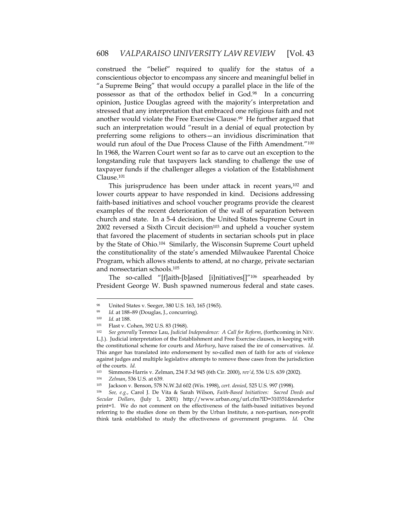construed the "belief" required to qualify for the status of a conscientious objector to encompass any sincere and meaningful belief in "a Supreme Being" that would occupy a parallel place in the life of the possessor as that of the orthodox belief in God.98 In a concurring opinion, Justice Douglas agreed with the majority's interpretation and stressed that any interpretation that embraced one religious faith and not another would violate the Free Exercise Clause.99 He further argued that such an interpretation would "result in a denial of equal protection by preferring some religions to others—an invidious discrimination that would run afoul of the Due Process Clause of the Fifth Amendment.<sup>"100</sup> In 1968, the Warren Court went so far as to carve out an exception to the longstanding rule that taxpayers lack standing to challenge the use of taxpayer funds if the challenger alleges a violation of the Establishment Clause.101

This jurisprudence has been under attack in recent years,<sup>102</sup> and lower courts appear to have responded in kind. Decisions addressing faith-based initiatives and school voucher programs provide the clearest examples of the recent deterioration of the wall of separation between church and state. In a 5-4 decision, the United States Supreme Court in  $2002$  reversed a Sixth Circuit decision<sup>103</sup> and upheld a voucher system that favored the placement of students in sectarian schools put in place by the State of Ohio.104 Similarly, the Wisconsin Supreme Court upheld the constitutionality of the state's amended Milwaukee Parental Choice Program, which allows students to attend, at no charge, private sectarian and nonsectarian schools.105

The so-called "[f]aith-[b]ased [i]nitiatives[]"106 spearheaded by President George W. Bush spawned numerous federal and state cases.

<sup>98</sup> United States v. Seeger, 380 U.S. 163, 165 (1965).

<sup>99</sup> *Id.* at 188–89 (Douglas, J., concurring).

<sup>100</sup> *Id.* at 188.

Flast v. Cohen, 392 U.S. 83 (1968).

<sup>102</sup> *See generally* Terence Lau, *Judicial Independence: A Call for Reform*, (forthcoming in NEV. L.J.). Judicial interpretation of the Establishment and Free Exercise clauses, in keeping with the constitutional scheme for courts and *Marbury*, have raised the ire of conservatives. *Id.*  This anger has translated into endorsement by so-called men of faith for acts of violence against judges and multiple legislative attempts to remove these cases from the jurisdiction of the courts. *Id.*<br><sup>103</sup> Simmons-H

<sup>103</sup> Simmons-Harris v. Zelman, 234 F.3d 945 (6th Cir. 2000), *rev'd*, 536 U.S. 639 (2002). 104 *Zelman*, 536 U.S. at 639.

<sup>105</sup> Jackson v. Benson, 578 N.W.2d 602 (Wis. 1998), *cert. denied*, 525 U.S. 997 (1998).

<sup>106</sup> *See, e.g.*, Carol J. De Vita & Sarah Wilson, *Faith-Based Initiatives: Sacred Deeds and Secular Dollars*, (July 1, 2001) http://www.urban.org/url.cfm?ID=310351&renderfor print=1. We do not comment on the effectiveness of the faith-based initiatives beyond referring to the studies done on them by the Urban Institute, a non-partisan, non-profit think tank established to study the effectiveness of government programs. *Id.* One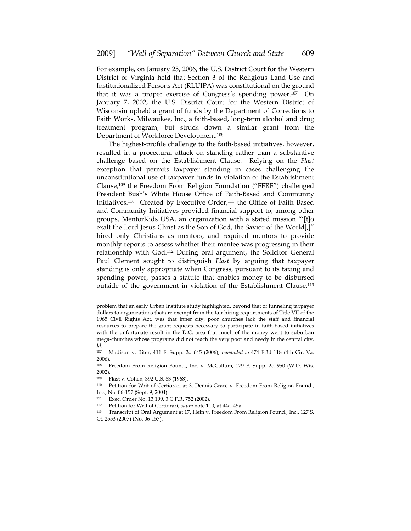For example, on January 25, 2006, the U.S. District Court for the Western District of Virginia held that Section 3 of the Religious Land Use and Institutionalized Persons Act (RLUIPA) was constitutional on the ground that it was a proper exercise of Congress's spending power.107 On January 7, 2002, the U.S. District Court for the Western District of Wisconsin upheld a grant of funds by the Department of Corrections to Faith Works, Milwaukee, Inc., a faith-based, long-term alcohol and drug treatment program, but struck down a similar grant from the Department of Workforce Development.108

The highest-profile challenge to the faith-based initiatives, however, resulted in a procedural attack on standing rather than a substantive challenge based on the Establishment Clause. Relying on the *Flast* exception that permits taxpayer standing in cases challenging the unconstitutional use of taxpayer funds in violation of the Establishment Clause,109 the Freedom From Religion Foundation ("FFRF") challenged President Bush's White House Office of Faith-Based and Community Initiatives.<sup>110</sup> Created by Executive Order,<sup>111</sup> the Office of Faith Based and Community Initiatives provided financial support to, among other groups, MentorKids USA, an organization with a stated mission "'[t]o exalt the Lord Jesus Christ as the Son of God, the Savior of the World[,]" hired only Christians as mentors, and required mentors to provide monthly reports to assess whether their mentee was progressing in their relationship with God.112 During oral argument, the Solicitor General Paul Clement sought to distinguish *Flast* by arguing that taxpayer standing is only appropriate when Congress, pursuant to its taxing and spending power, passes a statute that enables money to be disbursed outside of the government in violation of the Establishment Clause.113

1

problem that an early Urban Institute study highlighted, beyond that of funneling taxpayer dollars to organizations that are exempt from the fair hiring requirements of Title VII of the 1965 Civil Rights Act, was that inner city, poor churches lack the staff and financial resources to prepare the grant requests necessary to participate in faith-based initiatives with the unfortunate result in the D.C. area that much of the money went to suburban mega-churches whose programs did not reach the very poor and needy in the central city. *Id.*

<sup>107</sup> Madison v. Riter, 411 F. Supp. 2d 645 (2006), *remanded to* 474 F.3d 118 (4th Cir. Va. 2006).

<sup>108</sup> Freedom From Religion Found., Inc. v. McCallum, 179 F. Supp. 2d 950 (W.D. Wis. 2002).

<sup>109</sup> Flast v. Cohen, 392 U.S. 83 (1968).

<sup>110</sup> Petition for Writ of Certiorari at 3, Dennis Grace v. Freedom From Religion Found., Inc., No. 06-157 (Sept. 9, 2004).

<sup>111</sup> Exec. Order No. 13,199, 3 C.F.R. 752 (2002).

<sup>112</sup> Petition for Writ of Certiorari, *supra* note 110, at 44a–45a.

<sup>113</sup> Transcript of Oral Argument at 17, Hein v. Freedom From Religion Found., Inc., 127 S.

Ct. 2553 (2007) (No. 06-157).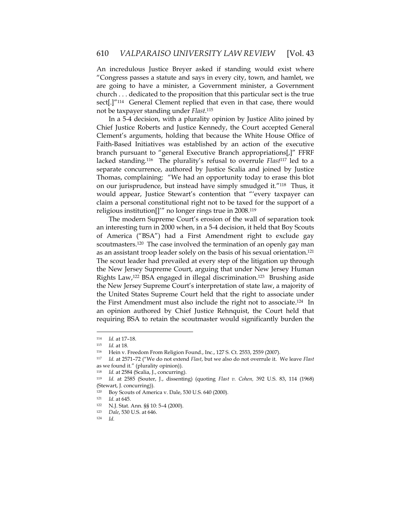An incredulous Justice Breyer asked if standing would exist where "Congress passes a statute and says in every city, town, and hamlet, we are going to have a minister, a Government minister, a Government church . . . dedicated to the proposition that this particular sect is the true sect[.]"114 General Clement replied that even in that case, there would not be taxpayer standing under *Flast*. 115

In a 5-4 decision, with a plurality opinion by Justice Alito joined by Chief Justice Roberts and Justice Kennedy, the Court accepted General Clement's arguments, holding that because the White House Office of Faith-Based Initiatives was established by an action of the executive branch pursuant to "general Executive Branch appropriations[,]" FFRF lacked standing.116 The plurality's refusal to overrule *Flast*117 led to a separate concurrence, authored by Justice Scalia and joined by Justice Thomas, complaining: "We had an opportunity today to erase this blot on our jurisprudence, but instead have simply smudged it."118 Thus, it would appear, Justice Stewart's contention that "'every taxpayer can claim a personal constitutional right not to be taxed for the support of a religious institution[]'" no longer rings true in 2008.119

The modern Supreme Court's erosion of the wall of separation took an interesting turn in 2000 when, in a 5-4 decision, it held that Boy Scouts of America ("BSA") had a First Amendment right to exclude gay scoutmasters.<sup>120</sup> The case involved the termination of an openly gay man as an assistant troop leader solely on the basis of his sexual orientation.121 The scout leader had prevailed at every step of the litigation up through the New Jersey Supreme Court, arguing that under New Jersey Human Rights Law,122 BSA engaged in illegal discrimination.123 Brushing aside the New Jersey Supreme Court's interpretation of state law, a majority of the United States Supreme Court held that the right to associate under the First Amendment must also include the right not to associate.124 In an opinion authored by Chief Justice Rehnquist, the Court held that requiring BSA to retain the scoutmaster would significantly burden the

<sup>114</sup> *Id.* at 17–18.

<sup>115</sup> *Id.* at 18. 116 Hein v. Freedom From Religion Found., Inc., 127 S. Ct. 2553, 2559 (2007).

<sup>117</sup> *Id.* at 2571–72 ("We do not extend *Flast*, but we also do not overrule it. We leave *Flast* as we found it." (plurality opinion)).<br><sup>118</sup> Id. at 2584 (Scalia, J., concurring).

<sup>119</sup> *Id.* at 2585 (Souter, J., dissenting) (quoting *Flast v. Cohen,* 392 U.S. 83, 114 (1968) (Stewart, J. concurring)).

<sup>&</sup>lt;sup>120</sup> Boy Scouts of America v. Dale, 530 U.S. 640 (2000).<br><sup>121</sup> *Id.* at 645.

<sup>122</sup> N.J. Stat. Ann. §§ 10: 5-4 (2000).

<sup>123</sup> *Dale*, 530 U.S. at 646. 124 *Id.*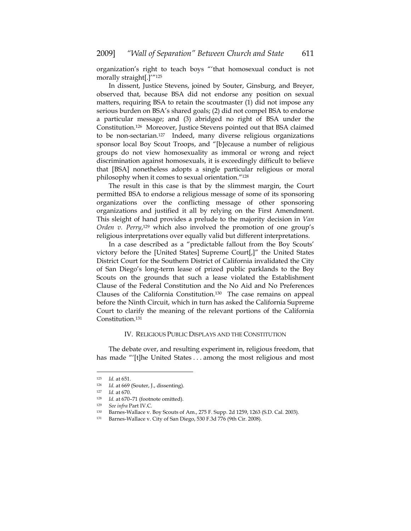organization's right to teach boys "'that homosexual conduct is not morally straight[.]'"125

In dissent, Justice Stevens, joined by Souter, Ginsburg, and Breyer, observed that, because BSA did not endorse any position on sexual matters, requiring BSA to retain the scoutmaster (1) did not impose any serious burden on BSA's shared goals; (2) did not compel BSA to endorse a particular message; and (3) abridged no right of BSA under the Constitution.126 Moreover, Justice Stevens pointed out that BSA claimed to be non-sectarian.127 Indeed, many diverse religious organizations sponsor local Boy Scout Troops, and "[b]ecause a number of religious groups do not view homosexuality as immoral or wrong and reject discrimination against homosexuals, it is exceedingly difficult to believe that [BSA] nonetheless adopts a single particular religious or moral philosophy when it comes to sexual orientation."128

The result in this case is that by the slimmest margin, the Court permitted BSA to endorse a religious message of some of its sponsoring organizations over the conflicting message of other sponsoring organizations and justified it all by relying on the First Amendment. This sleight of hand provides a prelude to the majority decision in *Van*  Orden v. Perry,<sup>129</sup> which also involved the promotion of one group's religious interpretations over equally valid but different interpretations.

In a case described as a "predictable fallout from the Boy Scouts' victory before the [United States] Supreme Court[,]" the United States District Court for the Southern District of California invalidated the City of San Diego's long-term lease of prized public parklands to the Boy Scouts on the grounds that such a lease violated the Establishment Clause of the Federal Constitution and the No Aid and No Preferences Clauses of the California Constitution.130 The case remains on appeal before the Ninth Circuit, which in turn has asked the California Supreme Court to clarify the meaning of the relevant portions of the California Constitution.131

#### IV. RELIGIOUS PUBLIC DISPLAYS AND THE CONSTITUTION

The debate over, and resulting experiment in, religious freedom, that has made "'[t]he United States . . . among the most religious and most

<sup>125</sup> *Id.* at 651.

<sup>126</sup> *Id.* at 669 (Souter, J., dissenting).

<sup>127</sup> *Id.* at 670. 128 *Id.* at 670–71 (footnote omitted). 129 *See infra* Part IV.C*.* 

<sup>130</sup> Barnes-Wallace v. Boy Scouts of Am., 275 F. Supp. 2d 1259, 1263 (S.D. Cal. 2003).

<sup>131</sup> Barnes-Wallace v. City of San Diego, 530 F.3d 776 (9th Cir. 2008).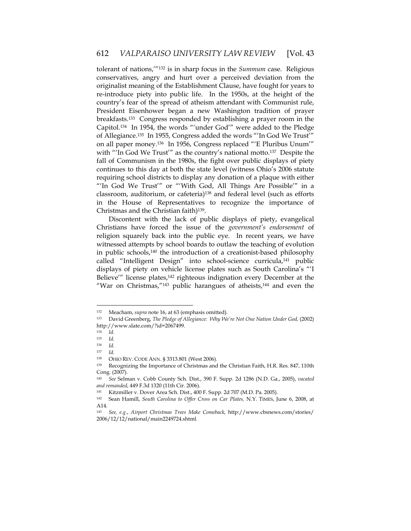tolerant of nations,'"132 is in sharp focus in the *Summum* case. Religious conservatives, angry and hurt over a perceived deviation from the originalist meaning of the Establishment Clause, have fought for years to re-introduce piety into public life. In the 1950s, at the height of the country's fear of the spread of atheism attendant with Communist rule, President Eisenhower began a new Washington tradition of prayer breakfasts.133 Congress responded by establishing a prayer room in the Capitol.134 In 1954, the words "'under God'" were added to the Pledge of Allegiance.135 In 1955, Congress added the words "'In God We Trust'" on all paper money.136 In 1956, Congress replaced "'E Pluribus Unum'" with "'In God We Trust'" as the country's national motto.137 Despite the fall of Communism in the 1980s, the fight over public displays of piety continues to this day at both the state level (witness Ohio's 2006 statute requiring school districts to display any donation of a plaque with either "'In God We Trust'" or "'With God, All Things Are Possible'" in a classroom, auditorium, or cafeteria)138 and federal level (such as efforts in the House of Representatives to recognize the importance of Christmas and the Christian faith)139.

Discontent with the lack of public displays of piety, evangelical Christians have forced the issue of the *government's endorsement* of religion squarely back into the public eye. In recent years, we have witnessed attempts by school boards to outlaw the teaching of evolution in public schools,140 the introduction of a creationist-based philosophy called "Intelligent Design" into school-science curricula,141 public displays of piety on vehicle license plates such as South Carolina's "'I Believe'" license plates,<sup>142</sup> righteous indignation every December at the "War on Christmas, $^{\prime\prime}$ <sup>143</sup> public harangues of atheists, $^{144}$  and even the

<sup>132</sup> Meacham, *supra* note 16, at 63 (emphasis omitted).

<sup>133</sup> David Greenberg, *The Pledge of Allegiance: Why We're Not One Nation Under God,* (2002) http://www.slate.com/?id=2067499.

<sup>134</sup> *Id.* 

<sup>135</sup> *Id.* 

<sup>136</sup> *Id.* 

*Id.* 

<sup>&</sup>lt;sup>138</sup> OHIO REV. CODE ANN. § 3313.801 (West 2006).<br><sup>139</sup> Recognizing the Importance of Christmas and the Christian Faith, H.R. Res. 847, 110th Cong. (2007).

<sup>140</sup> *See* Selman v. Cobb County Sch. Dist., 390 F. Supp. 2d 1286 (N.D. Ga., 2005), *vacated and remanded*, 449 F.3d 1320 (11th Cir. 2006).

<sup>141</sup> Kitzmiller v. Dover Area Sch. Dist., 400 F. Supp. 2d 707 (M.D. Pa. 2005).

<sup>142</sup> Sean Hamill, *South Carolina to Offer Cross on Car Plates,* N.Y. TIMES, June 6, 2008, at A14.

<sup>143</sup> *See, e.g*., *Airport Christmas Trees Make Comeback*, http://www.cbsnews.com/stories/ 2006/12/12/national/main2249724.shtml.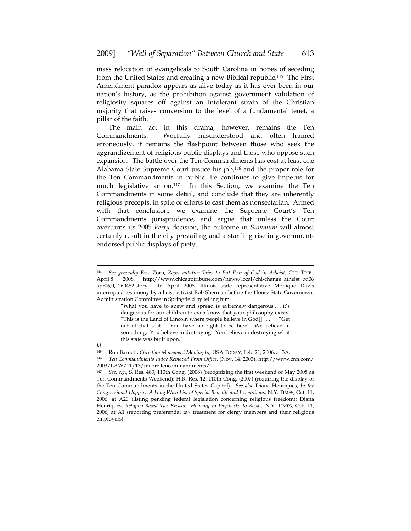mass relocation of evangelicals to South Carolina in hopes of seceding from the United States and creating a new Biblical republic.145 The First Amendment paradox appears as alive today as it has ever been in our nation's history, as the prohibition against government validation of religiosity squares off against an intolerant strain of the Christian majority that raises conversion to the level of a fundamental tenet, a pillar of the faith.

The main act in this drama, however, remains the Ten Commandments. Woefully misunderstood and often framed erroneously, it remains the flashpoint between those who seek the aggrandizement of religious public displays and those who oppose such expansion. The battle over the Ten Commandments has cost at least one Alabama State Supreme Court justice his job,146 and the proper role for the Ten Commandments in public life continues to give impetus for much legislative action.<sup>147</sup> In this Section, we examine the Ten Commandments in some detail, and conclude that they are inherently religious precepts, in spite of efforts to cast them as nonsectarian. Armed with that conclusion, we examine the Supreme Court's Ten Commandments jurisprudence, and argue that unless the Court overturns its 2005 *Perry* decision, the outcome in *Summum* will almost certainly result in the city prevailing and a startling rise in governmentendorsed public displays of piety.

"What you have to spew and spread is extremely dangerous . . . it's dangerous for our children to even know that your philosophy exists! "This is the Land of Lincoln where people believe in  $God[]" \ldots$  "Get out of that seat ... You have no right to be here! We believe in something. You believe in destroying! You believe in destroying what this state was built upon."

*Id.*

<u>.</u>

145 Ron Barnett, *Christian Movement Moving In,* USA TODAY, Feb. 21, 2006, at 3A.

<sup>146</sup> *Ten Commandments Judge Removed From Office*, (Nov. 14, 2003), http://www.cnn.com/ 2003/LAW/11/13/moore.tencommandments/.

<sup>144</sup> *See generally* Eric Zorn, *Representative Tries to Put Fear of God in Atheist,* CHI. TRIB., April 8, 2008, http://www.chicagotribune.com/news/local/chi-change\_atheist\_bd06 apr06,0,1260452.story. In April 2008, Illinois state representative Monique Davis interrupted testimony by atheist activist Rob Sherman before the House State Government Administration Committee in Springfield by telling him:

<sup>147</sup> *See, e.g.*, S. Res. 483, 110th Cong. (2008) (recognizing the first weekend of May 2008 as Ten Commandments Weekend); H.R. Res. 12, 110th Cong. (2007) (requiring the display of the Ten Commandments in the United States Capitol). *See also* Diana Henriques, *In the Congressional Hopper: A Long Wish List of Special Benefits and Exemptions,* N.Y. TIMES, Oct. 11, 2006, at A20 (listing pending federal legislation concerning religious freedom); Diana Henriques, *Religion-Based Tax Breaks: Housing to Paychecks to Books,* N.Y. TIMES, Oct. 11, 2006, at A1 (reporting preferential tax treatment for clergy members and their religious employers).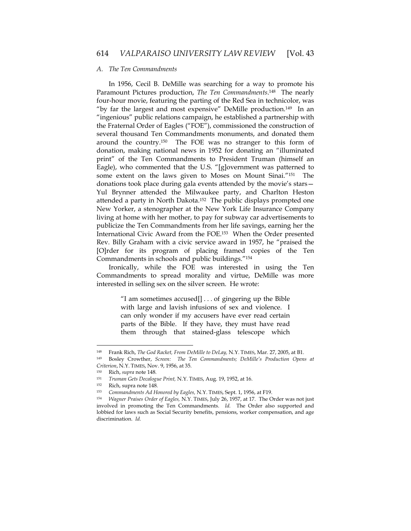#### *A. The Ten Commandments*

In 1956, Cecil B. DeMille was searching for a way to promote his Paramount Pictures production, *The Ten Commandments*. 148 The nearly four-hour movie, featuring the parting of the Red Sea in technicolor, was "by far the largest and most expensive" DeMille production.149 In an "ingenious" public relations campaign, he established a partnership with the Fraternal Order of Eagles ("FOE"), commissioned the construction of several thousand Ten Commandments monuments, and donated them around the country.150 The FOE was no stranger to this form of donation, making national news in 1952 for donating an "illuminated print" of the Ten Commandments to President Truman (himself an Eagle), who commented that the U.S. "[g]overnment was patterned to some extent on the laws given to Moses on Mount Sinai."151 The donations took place during gala events attended by the movie's stars— Yul Brynner attended the Milwaukee party, and Charlton Heston attended a party in North Dakota.152 The public displays prompted one New Yorker, a stenographer at the New York Life Insurance Company living at home with her mother, to pay for subway car advertisements to publicize the Ten Commandments from her life savings, earning her the International Civic Award from the FOE.153 When the Order presented Rev. Billy Graham with a civic service award in 1957, he "praised the [O]rder for its program of placing framed copies of the Ten Commandments in schools and public buildings."154

Ironically, while the FOE was interested in using the Ten Commandments to spread morality and virtue, DeMille was more interested in selling sex on the silver screen. He wrote:

> "I am sometimes accused[] . . . of gingering up the Bible with large and lavish infusions of sex and violence. I can only wonder if my accusers have ever read certain parts of the Bible. If they have, they must have read them through that stained-glass telescope which

<sup>148</sup> Frank Rich, *The God Racket, From DeMille to DeLay,* N.Y. TIMES, Mar. 27, 2005, at B1.

<sup>149</sup> Bosley Crowther, *Screen: The Ten Commandments; DeMille's Production Opens at Criterion*, N.Y. TIMES, Nov. 9, 1956, at 35. 150 Rich, *supra* note 148*.* 

<sup>151</sup> *Truman Gets Decalogue Print,* N.Y. TIMES, Aug. 19, 1952, at 16.

<sup>152</sup> Rich, supra note 148*.* 

<sup>153</sup> *Commandments Ad Honored by Eagles,* N.Y. TIMES, Sept. 1, 1956, at F19. 154 *Wagner Praises Order of Eagles,* N.Y. TIMES, July 26, 1957, at 17. The Order was not just involved in promoting the Ten Commandments. *Id.* The Order also supported and lobbied for laws such as Social Security benefits, pensions, worker compensation, and age discrimination. *Id.*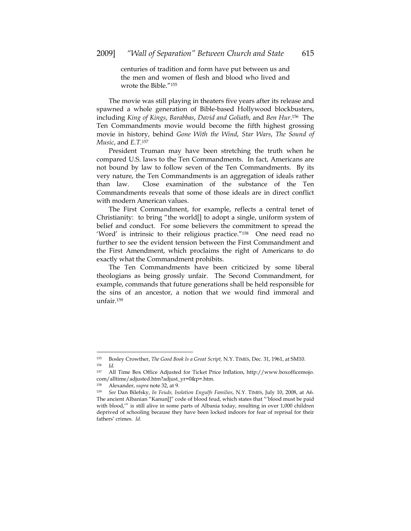centuries of tradition and form have put between us and the men and women of flesh and blood who lived and wrote the Bible<sup>"155</sup>

The movie was still playing in theaters five years after its release and spawned a whole generation of Bible-based Hollywood blockbusters, including *King of Kings*, *Barabbas*, *David and Goliath*, and *Ben Hur*. 156 The Ten Commandments movie would become the fifth highest grossing movie in history, behind *Gone With the Wind*, *Star Wars*, *The Sound of Music*, and *E.T.*<sup>157</sup>

President Truman may have been stretching the truth when he compared U.S. laws to the Ten Commandments. In fact, Americans are not bound by law to follow seven of the Ten Commandments. By its very nature, the Ten Commandments is an aggregation of ideals rather than law. Close examination of the substance of the Ten Commandments reveals that some of those ideals are in direct conflict with modern American values.

The First Commandment, for example, reflects a central tenet of Christianity: to bring "the world[] to adopt a single, uniform system of belief and conduct. For some believers the commitment to spread the 'Word' is intrinsic to their religious practice."158 One need read no further to see the evident tension between the First Commandment and the First Amendment, which proclaims the right of Americans to do exactly what the Commandment prohibits.

The Ten Commandments have been criticized by some liberal theologians as being grossly unfair. The Second Commandment, for example, commands that future generations shall be held responsible for the sins of an ancestor, a notion that we would find immoral and unfair.159

<sup>155</sup> Bosley Crowther, *The Good Book Is a Great Script,* N.Y. TIMES, Dec. 31, 1961, at SM10.<br>
156 *Id.*<br>
157 All Time Box Office Adjusted for Ticket Price Inflation http://www.hoxofficem

All Time Box Office Adjusted for Ticket Price Inflation, http://www.boxofficemojo. com/alltime/adjusted.htm?adjust\_yr=0&p=.htm.

<sup>158</sup> Alexander, *supra* note 32, at 9.

<sup>159</sup> *See* Dan Bilefsky, *In Feuds, Isolation Engulfs Families*, N.Y. TIMES, July 10, 2008, at A6. The ancient Albanian "Kanun[]" code of blood feud, which states that "'blood must be paid with blood,'" is still alive in some parts of Albania today, resulting in over 1,000 children deprived of schooling because they have been locked indoors for fear of reprisal for their fathers' crimes. *Id.*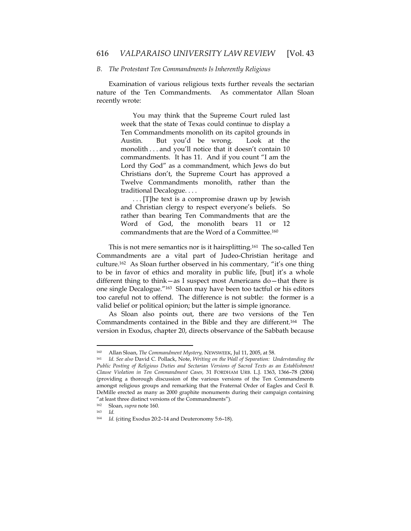#### *B. The Protestant Ten Commandments Is Inherently Religious*

Examination of various religious texts further reveals the sectarian nature of the Ten Commandments. As commentator Allan Sloan recently wrote:

> You may think that the Supreme Court ruled last week that the state of Texas could continue to display a Ten Commandments monolith on its capitol grounds in Austin. But you'd be wrong. Look at the monolith . . . and you'll notice that it doesn't contain 10 commandments. It has 11. And if you count "I am the Lord thy God" as a commandment, which Jews do but Christians don't, the Supreme Court has approved a Twelve Commandments monolith, rather than the traditional Decalogue. . . .

> . . . [T]he text is a compromise drawn up by Jewish and Christian clergy to respect everyone's beliefs. So rather than bearing Ten Commandments that are the Word of God, the monolith bears 11 or 12 commandments that are the Word of a Committee.160

This is not mere semantics nor is it hairsplitting.161 The so-called Ten Commandments are a vital part of Judeo-Christian heritage and culture.162 As Sloan further observed in his commentary*,* "it's one thing to be in favor of ethics and morality in public life, [but] it's a whole different thing to think—as I suspect most Americans do—that there is one single Decalogue."163 Sloan may have been too tactful or his editors too careful not to offend. The difference is not subtle: the former is a valid belief or political opinion; but the latter is simple ignorance.

As Sloan also points out, there are two versions of the Ten Commandments contained in the Bible and they are different.164 The version in Exodus, chapter 20, directs observance of the Sabbath because

<sup>160</sup> Allan Sloan, *The Commandment Mystery,* NEWSWEEK, Jul 11, 2005, at 58. 161 *Id*. *See also* David C. Pollack, Note, *Writing on the Wall of Separation: Understanding the Public Posting of Religious Duties and Sectarian Versions of Sacred Texts as an Establishment Clause Violation in Ten Commandment Cases,* 31 FORDHAM URB. L.J. 1363, 1366–78 (2004) (providing a thorough discussion of the various versions of the Ten Commandments amongst religious groups and remarking that the Fraternal Order of Eagles and Cecil B. DeMille erected as many as 2000 graphite monuments during their campaign containing "at least three distinct versions of the Commandments").

<sup>162</sup> Sloan, *supra* note 160.

<sup>163</sup> *Id.*

<sup>164</sup> *Id.* (citing Exodus 20:2–14 and Deuteronomy 5:6–18).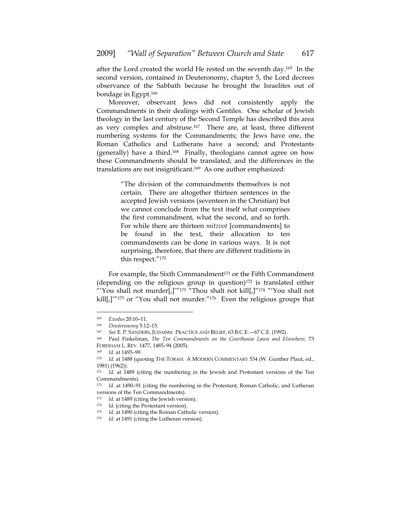after the Lord created the world He rested on the seventh day.165 In the second version, contained in Deuteronomy, chapter 5, the Lord decrees observance of the Sabbath because he brought the Israelites out of bondage in Egypt.166

Moreover, observant Jews did not consistently apply the Commandments in their dealings with Gentiles. One scholar of Jewish theology in the last century of the Second Temple has described this area as very complex and abstruse.<sup>167</sup> There are, at least, three different numbering systems for the Commandments; the Jews have one, the Roman Catholics and Lutherans have a second; and Protestants (generally) have a third.168 Finally, theologians cannot agree on how these Commandments should be translated; and the differences in the translations are not insignificant.169 As one author emphasized:

> "The division of the commandments themselves is not certain. There are altogether thirteen sentences in the accepted Jewish versions (seventeen in the Christian) but we cannot conclude from the text itself what comprises the first commandment, what the second, and so forth. For while there are thirteen *mitzvot* [commandments] to be found in the text, their allocation to ten commandments can be done in various ways. It is not surprising, therefore, that there are different traditions in this respect."170

For example, the Sixth Commandment<sup>171</sup> or the Fifth Commandment (depending on the religious group in question) $172$  is translated either "'You shall not murder[,]'"173 "Thou shalt not kill[,]"174 "'You shall not kill[,]'"<sup>175</sup> or "You shall not murder."<sup>176</sup> Even the religious groups that

<sup>165</sup> *Exodus* 20:10–11.

<sup>166</sup> *Deuteronomy* 5:12–15. 167 *See* E. P. SANDERS, JUDAISM: PRACTICE AND BELIEF, <sup>63</sup> B.C.E.—67 C.E. (1992).

<sup>168</sup> Paul Finkelman, *The Ten Commandments on the Courthouse Lawn and Elsewhere,* 73 FORDHAM L. REV. 1477, 1485–94 (2005). 169 *Id.* at 1493–99.

<sup>170</sup> *Id.* at 1488 (quoting THE TORAH: A MODERN COMMENTARY 534 (W. Gunther Plaut, ed., 1981) (1962)).

<sup>171</sup> *Id.* at 1489 (citing the numbering in the Jewish and Protestant versions of the Ten Commandments).

<sup>172</sup> *Id.* at 1490–91 (citing the numbering in the Protestant, Roman Catholic, and Lutheran versions of the Ten Commandments).<br><sup>173</sup> Id. at 1489 (citing the Jewish version).

<sup>&</sup>lt;sup>174</sup> *Id.* (citing the Protestant version).

<sup>175</sup> *Id.* at 1490 (citing the Roman Catholic version). 176 *Id.* at 1491 (citing the Lutheran version).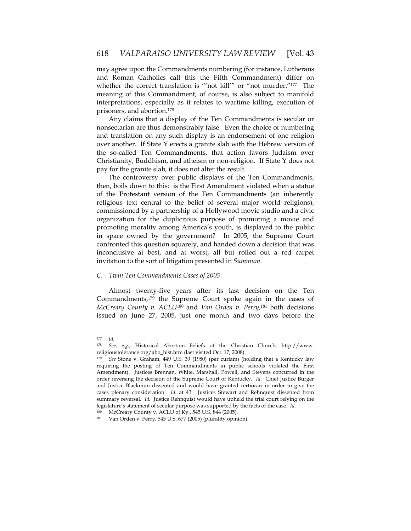may agree upon the Commandments numbering (for instance, Lutherans and Roman Catholics call this the Fifth Commandment) differ on whether the correct translation is "'not kill'" or "not murder."<sup>177</sup> The meaning of this Commandment, of course, is also subject to manifold interpretations, especially as it relates to wartime killing, execution of prisoners, and abortion.178

Any claims that a display of the Ten Commandments is secular or nonsectarian are thus demonstrably false. Even the choice of numbering and translation on any such display is an endorsement of one religion over another. If State Y erects a granite slab with the Hebrew version of the so-called Ten Commandments, that action favors Judaism over Christianity, Buddhism, and atheism or non-religion. If State Y does not pay for the granite slab, it does not alter the result.

The controversy over public displays of the Ten Commandments, then, boils down to this: is the First Amendment violated when a statue of the Protestant version of the Ten Commandments (an inherently religious text central to the belief of several major world religions), commissioned by a partnership of a Hollywood movie studio and a civic organization for the duplicitous purpose of promoting a movie and promoting morality among America's youth, is displayed to the public in space owned by the government? In 2005, the Supreme Court confronted this question squarely, and handed down a decision that was inconclusive at best, and at worst, all but rolled out a red carpet invitation to the sort of litigation presented in *Summum.* 

## *C. Twin Ten Commandments Cases of 2005*

Almost twenty-five years after its last decision on the Ten Commandments,179 the Supreme Court spoke again in the cases of *McCreary County v. ACLU*180 and *Van Orden v. Perry*, 181 both decisions issued on June 27, 2005, just one month and two days before the

<sup>177</sup> *Id*.

<sup>178</sup> *See, e.g.*, Historical Abortion Beliefs of the Christian Church, http://www. religioustolerance.org/abo\_hist.htm (last visited Oct. 17, 2008).

See Stone v. Graham, 449 U.S. 39 (1980) (per curiam) (holding that a Kentucky law requiring the posting of Ten Commandments in public schools violated the First Amendment). Justices Brennan, White, Marshall, Powell, and Stevens concurred in the order reversing the decision of the Supreme Court of Kentucky. *Id.* Chief Justice Burger and Justice Blackmun dissented and would have granted certiorari in order to give the cases plenary consideration. *Id.* at 43. Justices Stewart and Rehnquist dissented from summary reversal. *Id.* Justice Rehnquist would have upheld the trial court relying on the legislature's statement of secular purpose was supported by the facts of the case. *Id.*

<sup>180</sup> McCreary County v. ACLU of Ky., 545 U.S. 844 (2005).

<sup>181</sup> Van Orden v. Perry, 545 U.S. 677 (2005) (plurality opinion).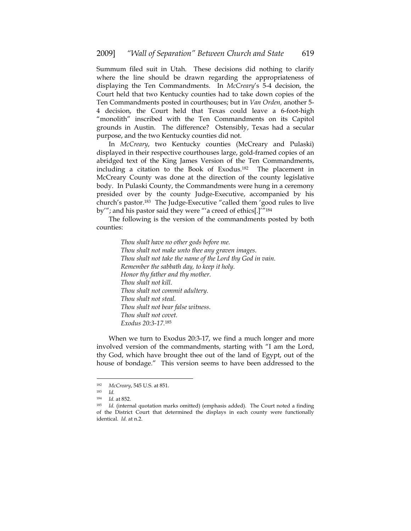Summum filed suit in Utah. These decisions did nothing to clarify where the line should be drawn regarding the appropriateness of displaying the Ten Commandments. In *McCreary*'s 5-4 decision, the Court held that two Kentucky counties had to take down copies of the Ten Commandments posted in courthouses; but in *Van Orden,* another 5- 4 decision, the Court held that Texas could leave a 6-foot-high "monolith" inscribed with the Ten Commandments on its Capitol grounds in Austin. The difference? Ostensibly, Texas had a secular purpose, and the two Kentucky counties did not.

In *McCreary*, two Kentucky counties (McCreary and Pulaski) displayed in their respective courthouses large, gold-framed copies of an abridged text of the King James Version of the Ten Commandments, including a citation to the Book of Exodus.182 The placement in McCreary County was done at the direction of the county legislative body. In Pulaski County, the Commandments were hung in a ceremony presided over by the county Judge-Executive, accompanied by his church's pastor.183 The Judge-Executive "called them 'good rules to live by'"; and his pastor said they were "'a creed of ethics[.]'"184

The following is the version of the commandments posted by both counties:

> *Thou shalt have no other gods before me. Thou shalt not make unto thee any graven images. Thou shalt not take the name of the Lord thy God in vain. Remember the sabbath day, to keep it holy. Honor thy father and thy mother. Thou shalt not kill. Thou shalt not commit adultery. Thou shalt not steal. Thou shalt not bear false witness. Thou shalt not covet. Exodus 20:3-17.*<sup>185</sup>

When we turn to Exodus 20:3-17, we find a much longer and more involved version of the commandments, starting with "I am the Lord, thy God, which have brought thee out of the land of Egypt, out of the house of bondage." This version seems to have been addressed to the

<sup>182</sup> *McCreary*, 545 U.S. at 851.

<sup>183</sup> *Id.* 

<sup>&</sup>lt;sup>184</sup> *Id.* at 852.<br><sup>185</sup> *Id.* (internal quotation marks omitted) (emphasis added). The Court noted a finding of the District Court that determined the displays in each county were functionally identical. *Id.* at n.2.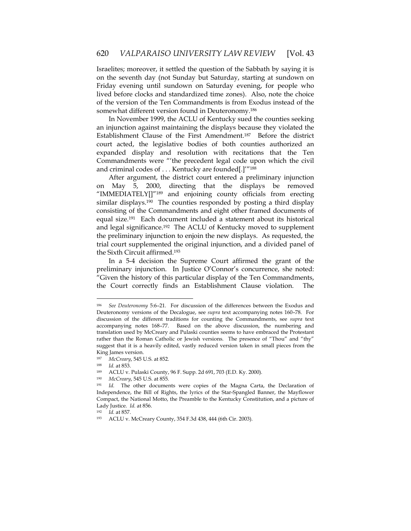Israelites; moreover, it settled the question of the Sabbath by saying it is on the seventh day (not Sunday but Saturday, starting at sundown on Friday evening until sundown on Saturday evening, for people who lived before clocks and standardized time zones). Also, note the choice of the version of the Ten Commandments is from Exodus instead of the somewhat different version found in Deuteronomy.186

In November 1999, the ACLU of Kentucky sued the counties seeking an injunction against maintaining the displays because they violated the Establishment Clause of the First Amendment.187 Before the district court acted, the legislative bodies of both counties authorized an expanded display and resolution with recitations that the Ten Commandments were "'the precedent legal code upon which the civil and criminal codes of . . . Kentucky are founded[.]'"188

After argument, the district court entered a preliminary injunction on May 5, 2000, directing that the displays be removed "IMMEDIATELY[]"189 and enjoining county officials from erecting similar displays.190 The counties responded by posting a third display consisting of the Commandments and eight other framed documents of equal size.191 Each document included a statement about its historical and legal significance.192 The ACLU of Kentucky moved to supplement the preliminary injunction to enjoin the new displays. As requested, the trial court supplemented the original injunction, and a divided panel of the Sixth Circuit affirmed.193

In a 5-4 decision the Supreme Court affirmed the grant of the preliminary injunction. In Justice O'Connor's concurrence, she noted: "Given the history of this particular display of the Ten Commandments, the Court correctly finds an Establishment Clause violation. The

<sup>186</sup> *See Deuteronomy* 5:6–21. For discussion of the differences between the Exodus and Deuteronomy versions of the Decalogue, see *supra* text accompanying notes 160–78. For discussion of the different traditions for counting the Commandments, see *supra* text accompanying notes 168–77. Based on the above discussion, the numbering and translation used by McCreary and Pulaski counties seems to have embraced the Protestant rather than the Roman Catholic or Jewish versions. The presence of "Thou" and "thy" suggest that it is a heavily edited, vastly reduced version taken in small pieces from the King James version.

<sup>187</sup> *McCreary*, 545 U.S. at 852.

<sup>&</sup>lt;sup>188</sup> *Id.* at 853.<br><sup>189</sup> ACLU v. Pulaski County, 96 F. Supp. 2d 691, 703 (E.D. Ky. 2000).

<sup>190</sup> *McCreary*, 545 U.S. at 855*.*

<sup>191</sup> *Id.* The other documents were copies of the Magna Carta, the Declaration of Independence, the Bill of Rights, the lyrics of the Star-Spangled Banner, the Mayflower Compact, the National Motto, the Preamble to the Kentucky Constitution, and a picture of Lady Justice. *Id.* at 856.

<sup>&</sup>lt;sup>192</sup> *Id.* at 857.<br><sup>193</sup> ACLU v. McCreary County, 354 F.3d 438, 444 (6th Cir. 2003).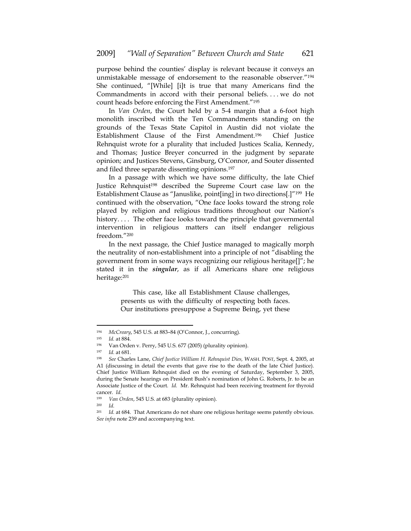purpose behind the counties' display is relevant because it conveys an unmistakable message of endorsement to the reasonable observer."194 She continued, "[While] [i]t is true that many Americans find the Commandments in accord with their personal beliefs. . . . we do not count heads before enforcing the First Amendment."195

In *Van Orden*, the Court held by a 5-4 margin that a 6-foot high monolith inscribed with the Ten Commandments standing on the grounds of the Texas State Capitol in Austin did not violate the Establishment Clause of the First Amendment.196 Chief Justice Rehnquist wrote for a plurality that included Justices Scalia, Kennedy, and Thomas; Justice Breyer concurred in the judgment by separate opinion; and Justices Stevens, Ginsburg, O'Connor, and Souter dissented and filed three separate dissenting opinions.197

In a passage with which we have some difficulty, the late Chief Justice Rehnquist<sup>198</sup> described the Supreme Court case law on the Establishment Clause as "Januslike, point[ing] in two directions[.]"199 He continued with the observation, "One face looks toward the strong role played by religion and religious traditions throughout our Nation's history.... The other face looks toward the principle that governmental intervention in religious matters can itself endanger religious freedom."200

In the next passage, the Chief Justice managed to magically morph the neutrality of non-establishment into a principle of not "disabling the government from in some ways recognizing our religious heritage[]"; he stated it in the *singular*, as if all Americans share one religious heritage:201

> This case, like all Establishment Clause challenges, presents us with the difficulty of respecting both faces. Our institutions presuppose a Supreme Being, yet these

<sup>194</sup> *McCreary*, 545 U.S. at 883–84 (O'Connor, J., concurring). 195 *Id.* at 884.

<sup>&</sup>lt;sup>196</sup> Van Orden v. Perry, 545 U.S. 677 (2005) (plurality opinion).<br><sup>197</sup> Id at 681

*Id.* at 681.

<sup>198</sup> *See* Charles Lane, *Chief Justice William H. Rehnquist Dies,* WASH. POST, Sept. 4, 2005, at A1 (discussing in detail the events that gave rise to the death of the late Chief Justice). Chief Justice William Rehnquist died on the evening of Saturday, September 3, 2005, during the Senate hearings on President Bush's nomination of John G. Roberts, Jr. to be an Associate Justice of the Court. *Id.* Mr. Rehnquist had been receiving treatment for thyroid cancer. *Id.*

<sup>199</sup> *Van Orden*, 545 U.S. at 683 (plurality opinion). 200 *Id.*

<sup>&</sup>lt;sup>201</sup> *Id.* at 684. That Americans do not share one religious heritage seems patently obvious. *See infra* note 239 and accompanying text.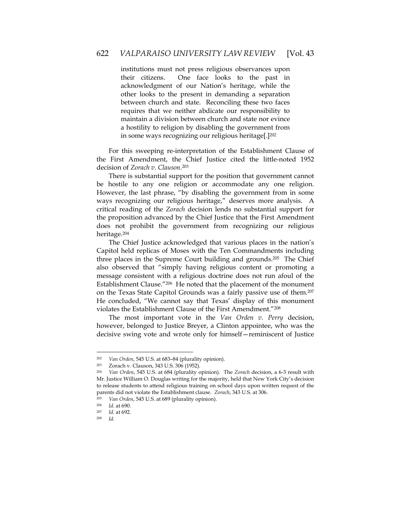institutions must not press religious observances upon their citizens. One face looks to the past in acknowledgment of our Nation's heritage, while the other looks to the present in demanding a separation between church and state. Reconciling these two faces requires that we neither abdicate our responsibility to maintain a division between church and state nor evince a hostility to religion by disabling the government from in some ways recognizing our religious heritage[.]202

For this sweeping re-interpretation of the Establishment Clause of the First Amendment, the Chief Justice cited the little-noted 1952 decision of *Zorach v. Clauson*. 203

There is substantial support for the position that government cannot be hostile to any one religion or accommodate any one religion. However, the last phrase, "by disabling the government from in some ways recognizing our religious heritage," deserves more analysis. A critical reading of the *Zorach* decision lends no substantial support for the proposition advanced by the Chief Justice that the First Amendment does not prohibit the government from recognizing our religious heritage.204

The Chief Justice acknowledged that various places in the nation's Capitol held replicas of Moses with the Ten Commandments including three places in the Supreme Court building and grounds.205 The Chief also observed that "simply having religious content or promoting a message consistent with a religious doctrine does not run afoul of the Establishment Clause."206 He noted that the placement of the monument on the Texas State Capitol Grounds was a fairly passive use of them.207 He concluded, "We cannot say that Texas' display of this monument violates the Establishment Clause of the First Amendment."208

The most important vote in the *Van Orden v. Perry* decision, however, belonged to Justice Breyer, a Clinton appointee, who was the decisive swing vote and wrote only for himself—reminiscent of Justice

<sup>202</sup> *Van Orden*, 545 U.S. at 683–84 (plurality opinion). 203 Zorach v. Clauson, 343 U.S. 306 (1952).

<sup>204</sup> *Van Orden*, 545 U.S. at 684 (plurality opinion). The *Zorach* decision, a 6-3 result with Mr. Justice William O. Douglas writing for the majority, held that New York City's decision to release students to attend religious training on school days upon written request of the parents did not violate the Establishment clause. *Zorach*, 343 U.S. at 306. 205 *Van Orden*, 545 U.S. at 689 (plurality opinion). 206 *Id.* at 690.

<sup>207</sup> *Id.* at 692. 208 *Id.*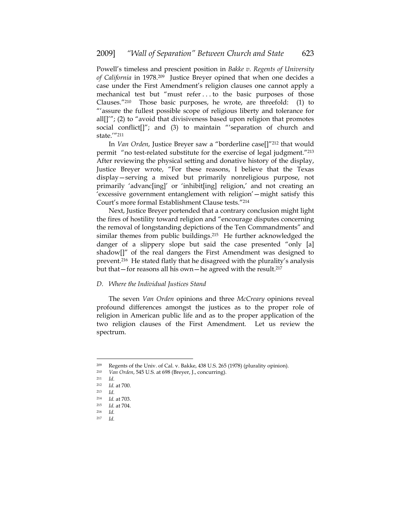Powell's timeless and prescient position in *Bakke v. Regents of University of California* in 1978.209 Justice Breyer opined that when one decides a case under the First Amendment's religion clauses one cannot apply a mechanical test but "must refer . . . to the basic purposes of those Clauses."210 Those basic purposes, he wrote, are threefold: (1) to "'assure the fullest possible scope of religious liberty and tolerance for all $[1'$ ; (2) to "avoid that divisiveness based upon religion that promotes social conflict[]"; and (3) to maintain "'separation of church and state.'"211

In *Van Orden*, Justice Breyer saw a "borderline case[]"212 that would permit "no test-related substitute for the exercise of legal judgment."213 After reviewing the physical setting and donative history of the display, Justice Breyer wrote, "For these reasons, I believe that the Texas display—serving a mixed but primarily nonreligious purpose, not primarily 'advanc[ing]' or 'inhibit[ing] religion,' and not creating an 'excessive government entanglement with religion'—might satisfy this Court's more formal Establishment Clause tests."214

Next, Justice Breyer portended that a contrary conclusion might light the fires of hostility toward religion and "encourage disputes concerning the removal of longstanding depictions of the Ten Commandments" and similar themes from public buildings.<sup>215</sup> He further acknowledged the danger of a slippery slope but said the case presented "only [a] shadow[]" of the real dangers the First Amendment was designed to prevent.216 He stated flatly that he disagreed with the plurality's analysis but that—for reasons all his own—he agreed with the result.217

## *D. Where the Individual Justices Stand*

The seven *Van Orden* opinions and three *McCreary* opinions reveal profound differences amongst the justices as to the proper role of religion in American public life and as to the proper application of the two religion clauses of the First Amendment. Let us review the spectrum.

 $\overline{a}$ 

<sup>217</sup> *Id.*

<sup>&</sup>lt;sup>209</sup> Regents of the Univ. of Cal. v. Bakke, 438 U.S. 265 (1978) (plurality opinion).<br><sup>210</sup> Van Orden 545 U.S. at 698 (Brever J. concurring)

<sup>210</sup> *Van Orden*, 545 U.S. at 698 (Breyer, J., concurring). 211 *Id*.

<sup>212</sup> *Id.* at 700.

<sup>213</sup> *Id*. 214 *Id.* at 703. 215 *Id.* at 704.

<sup>216</sup> *Id.*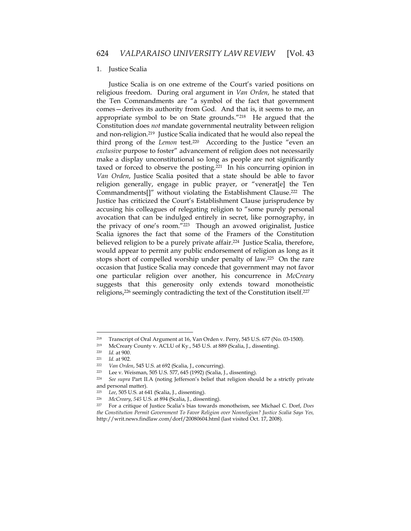#### 1. Justice Scalia

Justice Scalia is on one extreme of the Court's varied positions on religious freedom. During oral argument in *Van Orden*, he stated that the Ten Commandments are "a symbol of the fact that government comes—derives its authority from God. And that is, it seems to me, an appropriate symbol to be on State grounds."218 He argued that the Constitution does *not* mandate governmental neutrality between religion and non-religion.219 Justice Scalia indicated that he would also repeal the third prong of the *Lemon* test.220 According to the Justice "even an *exclusive* purpose to foster" advancement of religion does not necessarily make a display unconstitutional so long as people are not significantly taxed or forced to observe the posting.221 In his concurring opinion in *Van Orden*, Justice Scalia posited that a state should be able to favor religion generally, engage in public prayer, or "venerat[e] the Ten Commandments[]" without violating the Establishment Clause.222 The Justice has criticized the Court's Establishment Clause jurisprudence by accusing his colleagues of relegating religion to "some purely personal avocation that can be indulged entirely in secret, like pornography, in the privacy of one's room."223 Though an avowed originalist, Justice Scalia ignores the fact that some of the Framers of the Constitution believed religion to be a purely private affair.<sup>224</sup> Justice Scalia, therefore, would appear to permit any public endorsement of religion as long as it stops short of compelled worship under penalty of law.225 On the rare occasion that Justice Scalia may concede that government may not favor one particular religion over another, his concurrence in *McCreary* suggests that this generosity only extends toward monotheistic religions,<sup>226</sup> seemingly contradicting the text of the Constitution itself.<sup>227</sup>

<sup>&</sup>lt;sup>218</sup> Transcript of Oral Argument at 16, Van Orden v. Perry, 545 U.S. 677 (No. 03-1500).<br><sup>219</sup> McCroary County v. ACLU of Ky. 545 U.S. at 889 (Scalia J. disconting).

<sup>219</sup> McCreary County v. ACLU of Ky., 545 U.S. at 889 (Scalia, J., dissenting).

<sup>220</sup> *Id.* at 900.<br>
221 *Id.* at 902.<br>
222 *Van Orden,* 545 U.S. at 692 (Scalia, J., concurring).<br>
223 Lee v. Weisman, 505 U.S. 577, 645 (1992) (Scalia, J., dissenting).

<sup>224</sup> *See supra* Part II.A (noting Jefferson's belief that religion should be a strictly private and personal matter).

<sup>225</sup> *Lee*, 505 U.S. at 641 (Scalia, J., dissenting).

<sup>226</sup> *McCreary*, *545* U.S. at 894 (Scalia, J., dissenting). 227 For a critique of Justice Scalia's bias towards monotheism, see Michael C. Dorf, *Does the Constitution Permit Government To Favor Religion over Nonreligion? Justice Scalia Says Yes,*  http://writ.news.findlaw.com/dorf/20080604.html (last visited Oct. 17, 2008).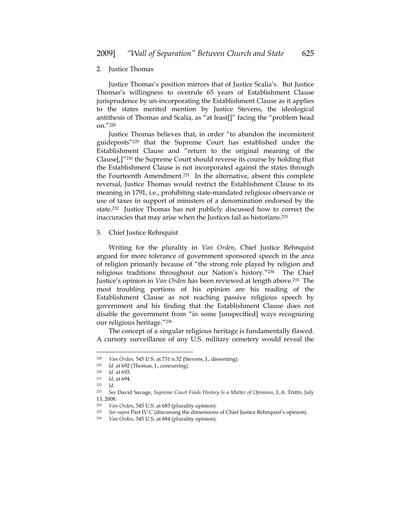#### 2. Justice Thomas

Justice Thomas's position mirrors that of Justice Scalia's. But Justice Thomas's willingness to overrule 65 years of Establishment Clause jurisprudence by un-incorporating the Establishment Clause as it applies to the states merited mention by Justice Stevens, the ideological antithesis of Thomas and Scalia, as "at least[]" facing the "problem head on."228

Justice Thomas believes that, in order "to abandon the inconsistent guideposts"229 that the Supreme Court has established under the Establishment Clause and "return to the original meaning of the Clause[,]"230 the Supreme Court should reverse its course by holding that the Establishment Clause is not incorporated against the states through the Fourteenth Amendment.231 In the alternative, absent this complete reversal, Justice Thomas would restrict the Establishment Clause to its meaning in 1791, i.e., prohibiting state-mandated religious observance or use of taxes in support of ministers of a denomination endorsed by the state.232 Justice Thomas has not publicly discussed how to correct the inaccuracies that may arise when the Justices fail as historians.233

#### 3. Chief Justice Rehnquist

Writing for the plurality in *Van Orden*, Chief Justice Rehnquist argued for more tolerance of government sponsored speech in the area of religion primarily because of "the strong role played by religion and religious traditions throughout our Nation's history."234 The Chief Justice's opinion in *Van Orden* has been reviewed at length above.235 The most troubling portions of his opinion are his reading of the Establishment Clause as not reaching passive religious speech by government and his finding that the Establishment Clause does not disable the government from "in some [unspecified] ways recognizing our religious heritage."236

The concept of a singular religious heritage is fundamentally flawed. A cursory surveillance of any U.S. military cemetery would reveal the

<sup>228</sup> *Van Orden,* 545 U.S. at 731 n.32 (Stevens, J., dissenting). 229 *Id.* at 692 (Thomas, J., concurring). 230 *Id.* at 693. 231 *Id.* at 694.

<sup>232</sup> *Id.*

<sup>233</sup> *See* David Savage, *Supreme Court Finds History Is a Matter of Opinions*, L.A. TIMES, July 13, 2008.

<sup>234</sup> *Van Orden*, 545 U.S. at 683 (plurality opinion).

<sup>235</sup> *See supra* Part IV.C (discussing the dimensions of Chief Justice Rehnquist's opinion). 236 *Van Orden*, 545 U.S. at 684 (plurality opinion).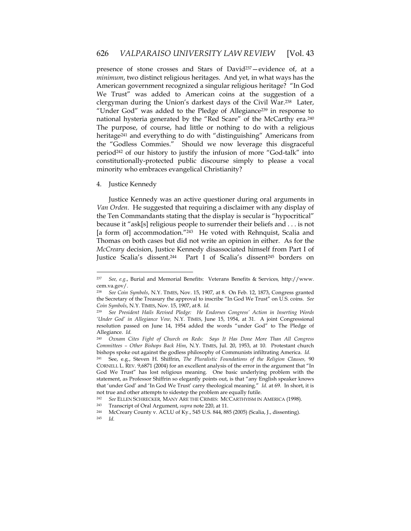presence of stone crosses and Stars of David237—evidence of, at a *minimum*, two distinct religious heritages. And yet, in what ways has the American government recognized a singular religious heritage? "In God We Trust" was added to American coins at the suggestion of a clergyman during the Union's darkest days of the Civil War.238 Later, "Under God" was added to the Pledge of Allegiance<sup>239</sup> in response to national hysteria generated by the "Red Scare" of the McCarthy era.<sup>240</sup> The purpose, of course, had little or nothing to do with a religious heritage<sup>241</sup> and everything to do with "distinguishing" Americans from the "Godless Commies." Should we now leverage this disgraceful period242 of our history to justify the infusion of more "God-talk" into constitutionally-protected public discourse simply to please a vocal minority who embraces evangelical Christianity?

## 4. Justice Kennedy

Justice Kennedy was an active questioner during oral arguments in *Van Orden.* He suggested that requiring a disclaimer with any display of the Ten Commandants stating that the display is secular is "hypocritical" because it "ask[s] religious people to surrender their beliefs and . . . is not [a form of] accommodation."<sup>243</sup> He voted with Rehnquist, Scalia and Thomas on both cases but did not write an opinion in either. As for the *McCreary* decision, Justice Kennedy disassociated himself from Part I of Justice Scalia's dissent.244 Part I of Scalia's dissent245 borders on

<sup>237</sup> *See, e.g.*, Burial and Memorial Benefits: Veterans Benefits & Services*,* http://www. cem.va.gov/.

<sup>238</sup> *See Coin Symbols*, N.Y. TIMES, Nov. 15, 1907, at 8. On Feb. 12, 1873, Congress granted the Secretary of the Treasury the approval to inscribe "In God We Trust" on U.S. coins. *See Coin Symbols*, N.Y. TIMES, Nov. 15, 1907, at 8. *Id.* 

<sup>239</sup> *See President Hails Revised Pledge: He Endorses Congress' Action in Inserting Words 'Under God' in Allegiance Vow,* N.Y. TIMES, June 15, 1954, at 31. A joint Congressional resolution passed on June 14, 1954 added the words "under God" to The Pledge of Allegiance. *Id.*

<sup>240</sup> *Oxnam Cites Fight of Church on Reds: Says It Has Done More Than All Congress Committees – Other Bishops Back Him*, N.Y. TIMES, Jul. 20, 1953, at 10. Protestant church bishops spoke out against the godless philosophy of Communists infiltrating America. *Id.*

<sup>241</sup> See, e.g., Steven H. Shiffrin, *The Pluralistic Foundations of the Religion Clauses,* 90 CORNELL L. REV. 9,6871 (2004) for an excellent analysis of the error in the argument that "In God We Trust" has lost religious meaning. One basic underlying problem with the statement, as Professor Shiffrin so elegantly points out, is that "any English speaker knows that 'under God' and 'In God We Trust' carry theological meaning." *Id.* at 69. In short, it is

not true and other attempts to sidestep the problem are equally futile.<br>
<sup>242</sup> See ELLEN SCHRECKER, MANY ARE THE CRIMES: MCCARTHYISM IN AMERICA (1998).<br>
<sup>243</sup> Transcript of Oral Argument, *supra* note 220, at 11.

<sup>244</sup> McCreary County v. ACLU of Ky., 545 U.S. 844, 885 (2005) (Scalia, J., dissenting).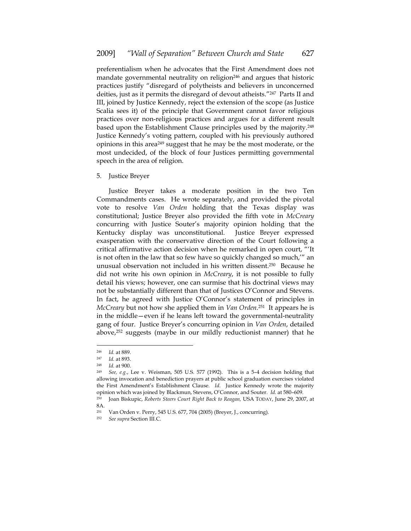preferentialism when he advocates that the First Amendment does not mandate governmental neutrality on religion<sup>246</sup> and argues that historic practices justify "disregard of polytheists and believers in unconcerned deities, just as it permits the disregard of devout atheists."247 Parts II and III, joined by Justice Kennedy, reject the extension of the scope (as Justice Scalia sees it) of the principle that Government cannot favor religious practices over non-religious practices and argues for a different result based upon the Establishment Clause principles used by the majority.248 Justice Kennedy's voting pattern, coupled with his previously authored opinions in this area249 suggest that he may be the most moderate, or the most undecided, of the block of four Justices permitting governmental speech in the area of religion.

5. Justice Breyer

Justice Breyer takes a moderate position in the two Ten Commandments cases. He wrote separately, and provided the pivotal vote to resolve *Van Orden* holding that the Texas display was constitutional; Justice Breyer also provided the fifth vote in *McCreary*  concurring with Justice Souter's majority opinion holding that the Kentucky display was unconstitutional. Justice Breyer expressed exasperation with the conservative direction of the Court following a critical affirmative action decision when he remarked in open court, "'It is not often in the law that so few have so quickly changed so much,'" an unusual observation not included in his written dissent.250 Because he did not write his own opinion in *McCreary*, it is not possible to fully detail his views; however, one can surmise that his doctrinal views may not be substantially different than that of Justices O'Connor and Stevens. In fact, he agreed with Justice O'Connor's statement of principles in *McCreary* but not how she applied them in *Van Orden*.251 It appears he is in the middle—even if he leans left toward the governmental-neutrality gang of four. Justice Breyer's concurring opinion in *Van Orden*, detailed above,252 suggests (maybe in our mildly reductionist manner) that he

<sup>246</sup> *Id.* at 889.

<sup>247</sup> *Id.* at 893. 248 *Id.* at 900. 249 *See, e.g.*, Lee v. Weisman, 505 U.S. 577 (1992). This is a 5–4 decision holding that allowing invocation and benediction prayers at public school graduation exercises violated the First Amendment's Establishment Clause. *Id*. Justice Kennedy wrote the majority opinion which was joined by Blackmun, Stevens, O'Connor, and Souter. *Id.* at 580–609. 250 Joan Biskupic, *Roberts Steers Court Right Back to Reagan,* USA TODAY, June 29, 2007, at

<sup>8</sup>A.

<sup>251</sup> Van Orden v. Perry, 545 U.S. 677, 704 (2005) (Breyer, J., concurring).

<sup>252</sup> *See supra* Section III.C.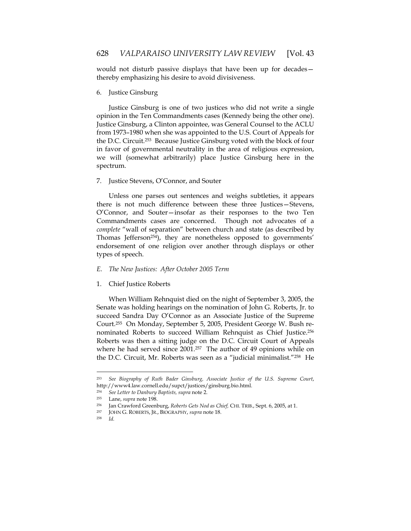would not disturb passive displays that have been up for decades thereby emphasizing his desire to avoid divisiveness.

## 6. Justice Ginsburg

Justice Ginsburg is one of two justices who did not write a single opinion in the Ten Commandments cases (Kennedy being the other one). Justice Ginsburg, a Clinton appointee, was General Counsel to the ACLU from 1973–1980 when she was appointed to the U.S. Court of Appeals for the D.C. Circuit.253 Because Justice Ginsburg voted with the block of four in favor of governmental neutrality in the area of religious expression, we will (somewhat arbitrarily) place Justice Ginsburg here in the spectrum.

## 7. Justice Stevens, O'Connor, and Souter

Unless one parses out sentences and weighs subtleties, it appears there is not much difference between these three Justices—Stevens, O'Connor, and Souter—insofar as their responses to the two Ten Commandments cases are concerned. Though not advocates of a *complete* "wall of separation" between church and state (as described by Thomas Jefferson254), they are nonetheless opposed to governments' endorsement of one religion over another through displays or other types of speech.

## *E. The New Justices: After October 2005 Term*

1. Chief Justice Roberts

When William Rehnquist died on the night of September 3, 2005, the Senate was holding hearings on the nomination of John G. Roberts, Jr. to succeed Sandra Day O'Connor as an Associate Justice of the Supreme Court.255 On Monday, September 5, 2005, President George W. Bush renominated Roberts to succeed William Rehnquist as Chief Justice.256 Roberts was then a sitting judge on the D.C. Circuit Court of Appeals where he had served since 2001.<sup>257</sup> The author of 49 opinions while on the D.C. Circuit, Mr. Roberts was seen as a "judicial minimalist."258 He

<sup>253</sup> *See Biography of Ruth Bader Ginsburg, Associate Justice of the U.S. Supreme Court*, http://www4.law.cornell.edu/supct/justices/ginsburg.bio.html*.* 

<sup>254</sup> *See Letter to Danbury Baptists, supra* note 2. 255 Lane, *supra* note 198. 256 Jan Crawford Greenburg, *Roberts Gets Nod as Chief,* CHI. TRIB., Sept. 6, 2005, at 1.

<sup>257</sup> JOHN G. ROBERTS, JR., BIOGRAPHY, *supra* note 18. 258 *Id.*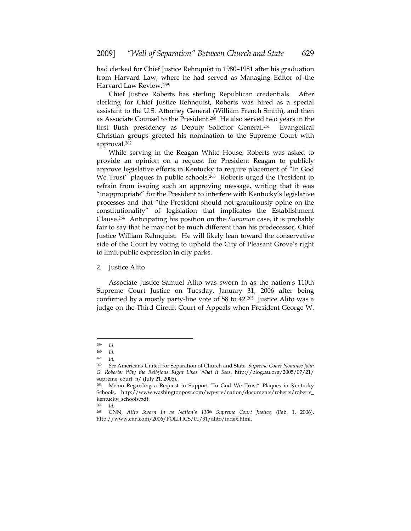had clerked for Chief Justice Rehnquist in 1980–1981 after his graduation from Harvard Law, where he had served as Managing Editor of the Harvard Law Review.259

Chief Justice Roberts has sterling Republican credentials. After clerking for Chief Justice Rehnquist, Roberts was hired as a special assistant to the U.S. Attorney General (William French Smith), and then as Associate Counsel to the President.260 He also served two years in the first Bush presidency as Deputy Solicitor General.<sup>261</sup> Evangelical Christian groups greeted his nomination to the Supreme Court with approval.262

While serving in the Reagan White House, Roberts was asked to provide an opinion on a request for President Reagan to publicly approve legislative efforts in Kentucky to require placement of "In God We Trust" plaques in public schools.<sup>263</sup> Roberts urged the President to refrain from issuing such an approving message, writing that it was "inappropriate" for the President to interfere with Kentucky's legislative processes and that "the President should not gratuitously opine on the constitutionality" of legislation that implicates the Establishment Clause.264 Anticipating his position on the *Summum* case, it is probably fair to say that he may not be much different than his predecessor, Chief Justice William Rehnquist. He will likely lean toward the conservative side of the Court by voting to uphold the City of Pleasant Grove's right to limit public expression in city parks.

#### 2. Justice Alito

Associate Justice Samuel Alito was sworn in as the nation's 110th Supreme Court Justice on Tuesday, January 31, 2006 after being confirmed by a mostly party-line vote of 58 to 42.265 Justice Alito was a judge on the Third Circuit Court of Appeals when President George W.

 $\frac{259}{260}$  *Id.* 

*Id.* 

<sup>261</sup> *Id.* 

<sup>262</sup> *See* Americans United for Separation of Church and State, *Supreme Court Nominee John G. Roberts: Why the Religious Right Likes What it Sees*, http://blog.au.org/2005/07/21/ supreme\_court\_n/ (July 21, 2005).

<sup>263</sup> Memo Regarding a Request to Support "In God We Trust" Plaques in Kentucky Schools, http://www.washingtonpost.com/wp-srv/nation/documents/roberts/roberts\_ kentucky\_schools.pdf.<br><sup>264</sup> Id.

<sup>264</sup> *Id.* 

<sup>265</sup> CNN, *Alito Sworn In as Nation's 110th Supreme Court Justice,* (Feb. 1, 2006), http://www.cnn.com/2006/POLITICS/01/31/alito/index.html.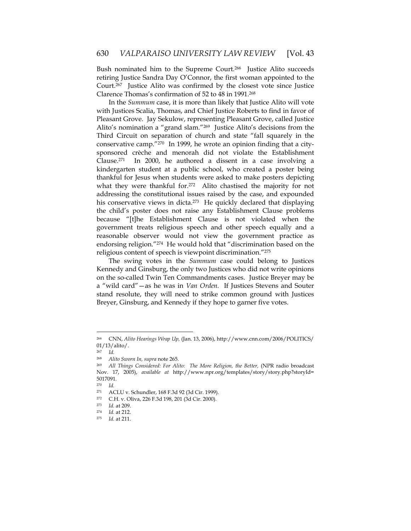Bush nominated him to the Supreme Court.266 Justice Alito succeeds retiring Justice Sandra Day O'Connor, the first woman appointed to the Court.267 Justice Alito was confirmed by the closest vote since Justice Clarence Thomas's confirmation of 52 to 48 in 1991.268

In the *Summum* case, it is more than likely that Justice Alito will vote with Justices Scalia, Thomas, and Chief Justice Roberts to find in favor of Pleasant Grove. Jay Sekulow, representing Pleasant Grove, called Justice Alito's nomination a "grand slam."269 Justice Alito's decisions from the Third Circuit on separation of church and state "fall squarely in the conservative camp."270 In 1999, he wrote an opinion finding that a citysponsored crèche and menorah did not violate the Establishment Clause.<sup>271</sup> In 2000, he authored a dissent in a case involving a kindergarten student at a public school, who created a poster being thankful for Jesus when students were asked to make posters depicting what they were thankful for.<sup>272</sup> Alito chastised the majority for not addressing the constitutional issues raised by the case, and expounded his conservative views in dicta.<sup>273</sup> He quickly declared that displaying the child's poster does not raise any Establishment Clause problems because "[t]he Establishment Clause is not violated when the government treats religious speech and other speech equally and a reasonable observer would not view the government practice as endorsing religion."274 He would hold that "discrimination based on the religious content of speech is viewpoint discrimination."275

The swing votes in the *Summum* case could belong to Justices Kennedy and Ginsburg, the only two Justices who did not write opinions on the so-called Twin Ten Commandments cases. Justice Breyer may be a "wild card"—as he was in *Van Orden.* If Justices Stevens and Souter stand resolute, they will need to strike common ground with Justices Breyer, Ginsburg, and Kennedy if they hope to garner five votes.

<sup>266</sup> CNN, *Alito Hearings Wrap Up,* (Jan. 13, 2006), http://www.cnn.com/2006/POLITICS/ 01/13/alito/.

<sup>267</sup> *Id.* 

<sup>268</sup> *Alito Sworn In, supra* note 265.

<sup>269</sup> *All Things Considered: For Alito: The More Religion, the Better,* (NPR radio broadcast Nov. 17, 2005), *available at* http://www.npr.org/templates/story/story.php?storyId= 5017091.

<sup>270</sup> *Id.* 

<sup>271</sup> ACLU v. Schundler, 168 F.3d 92 (3d Cir. 1999).

<sup>272</sup> C.H. v. Oliva, 226 F.3d 198, 201 (3d Cir. 2000).

<sup>273</sup> *Id.* at 209.

<sup>274</sup> *Id.* at 212. 275 *Id.* at 211.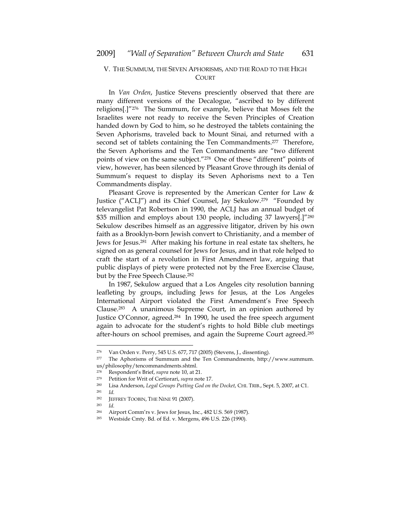## V. THE SUMMUM, THE SEVEN APHORISMS, AND THE ROAD TO THE HIGH **COURT**

In *Van Orden*, Justice Stevens presciently observed that there are many different versions of the Decalogue, "ascribed to by different religions[.]"276 The Summum, for example, believe that Moses felt the Israelites were not ready to receive the Seven Principles of Creation handed down by God to him, so he destroyed the tablets containing the Seven Aphorisms, traveled back to Mount Sinai, and returned with a second set of tablets containing the Ten Commandments.<sup>277</sup> Therefore, the Seven Aphorisms and the Ten Commandments are "two different points of view on the same subject."278 One of these "different" points of view, however, has been silenced by Pleasant Grove through its denial of Summum's request to display its Seven Aphorisms next to a Ten Commandments display.

Pleasant Grove is represented by the American Center for Law & Justice ("ACLJ") and its Chief Counsel, Jay Sekulow.279 "Founded by televangelist Pat Robertson in 1990, the ACLJ has an annual budget of \$35 million and employs about 130 people, including 37 lawyers[.]"280 Sekulow describes himself as an aggressive litigator, driven by his own faith as a Brooklyn-born Jewish convert to Christianity, and a member of Jews for Jesus.281 After making his fortune in real estate tax shelters, he signed on as general counsel for Jews for Jesus, and in that role helped to craft the start of a revolution in First Amendment law, arguing that public displays of piety were protected not by the Free Exercise Clause, but by the Free Speech Clause.<sup>282</sup>

In 1987, Sekulow argued that a Los Angeles city resolution banning leafleting by groups, including Jews for Jesus, at the Los Angeles International Airport violated the First Amendment's Free Speech Clause.283 A unanimous Supreme Court, in an opinion authored by Justice O'Connor, agreed.284 In 1990, he used the free speech argument again to advocate for the student's rights to hold Bible club meetings after-hours on school premises, and again the Supreme Court agreed.285

<sup>276</sup> Van Orden v. Perry, 545 U.S. 677, 717 (2005) (Stevens, J., dissenting).

<sup>277</sup> The Aphorisms of Summum and the Ten Commandments, http://www.summum. us/philosophy/tencommandments.shtml.<br>278 Respondent's Brief, sunta pote 10, at 2

<sup>278</sup> Respondent's Brief, *supra* note 10, at 21. 279 Petition for Writ of Certiorari, *supra* note 17.

<sup>280</sup> Lisa Anderson, *Legal Groups Putting God on the Docket*, CHI. TRIB., Sept. 5, 2007, at C1.

<sup>281</sup> *Id.* 

<sup>282</sup> JEFFREY TOOBIN, THE NINE 91 (2007). 283 *Id.* 

<sup>284</sup> Airport Comm'rs v. Jews for Jesus, Inc., 482 U.S. 569 (1987).

<sup>285</sup> Westside Cmty. Bd. of Ed. v. Mergens, 496 U.S. 226 (1990).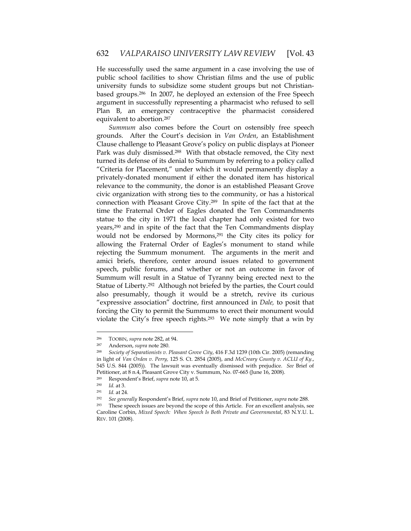He successfully used the same argument in a case involving the use of public school facilities to show Christian films and the use of public university funds to subsidize some student groups but not Christianbased groups.286 In 2007, he deployed an extension of the Free Speech argument in successfully representing a pharmacist who refused to sell Plan B, an emergency contraceptive the pharmacist considered equivalent to abortion.287

*Summum* also comes before the Court on ostensibly free speech grounds. After the Court's decision in *Van Orden*, an Establishment Clause challenge to Pleasant Grove's policy on public displays at Pioneer Park was duly dismissed.<sup>288</sup> With that obstacle removed, the City next turned its defense of its denial to Summum by referring to a policy called "Criteria for Placement," under which it would permanently display a privately-donated monument if either the donated item has historical relevance to the community, the donor is an established Pleasant Grove civic organization with strong ties to the community, or has a historical connection with Pleasant Grove City.289 In spite of the fact that at the time the Fraternal Order of Eagles donated the Ten Commandments statue to the city in 1971 the local chapter had only existed for two years,290 and in spite of the fact that the Ten Commandments display would not be endorsed by Mormons,<sup>291</sup> the City cites its policy for allowing the Fraternal Order of Eagles's monument to stand while rejecting the Summum monument. The arguments in the merit and amici briefs, therefore, center around issues related to government speech, public forums, and whether or not an outcome in favor of Summum will result in a Statue of Tyranny being erected next to the Statue of Liberty.<sup>292</sup> Although not briefed by the parties, the Court could also presumably, though it would be a stretch, revive its curious "expressive association" doctrine, first announced in *Dale,* to posit that forcing the City to permit the Summums to erect their monument would violate the City's free speech rights.293 We note simply that a win by

<sup>286</sup> TOOBIN, *supra* note 282, at 94.

<sup>287</sup> Anderson, *supra* note 280. 288 *Society of Separationists v. Pleasant Grove City*, 416 F.3d 1239 (10th Cir. 2005) (remanding in light of *Van Orden v. Perry,* 125 S. Ct. 2854 (2005), and *McCreary County v. ACLU of Ky.*, 545 U.S. 844 (2005)). The lawsuit was eventually dismissed with prejudice. *See* Brief of Petitioner, at 8 n.4, Pleasant Grove City v. Summum, No. 07-665 (June 16, 2008).<br><sup>289</sup> Bespondant's Brief, sunta poto 10, at 5.

<sup>289</sup> Respondent's Brief, *supra* note 10, at 5.

<sup>290</sup> *Id.* at 3.

<sup>&</sup>lt;sup>291</sup> *Id.* at 24.<br><sup>292</sup> *See generally Respondent's Brief, supra* note 10, and Brief of Petitioner, *supra* note 288.<br><sup>293</sup> These speech issues are beyond the scope of this Article. For an excellent analysis, see

Caroline Corbin, *Mixed Speech: When Speech Is Both Private and Governmental*, 83 N.Y.U. L. REV. 101 (2008).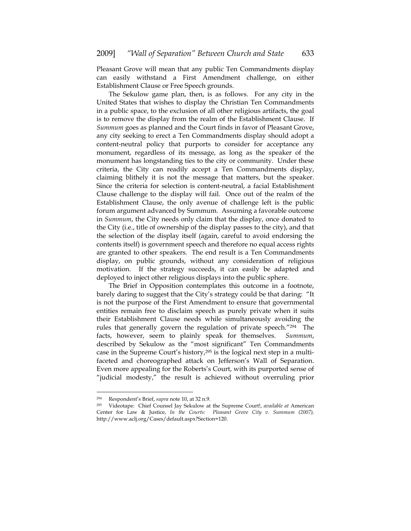Pleasant Grove will mean that any public Ten Commandments display can easily withstand a First Amendment challenge, on either Establishment Clause or Free Speech grounds.

The Sekulow game plan, then, is as follows. For any city in the United States that wishes to display the Christian Ten Commandments in a public space, to the exclusion of all other religious artifacts, the goal is to remove the display from the realm of the Establishment Clause. If *Summum* goes as planned and the Court finds in favor of Pleasant Grove, any city seeking to erect a Ten Commandments display should adopt a content-neutral policy that purports to consider for acceptance any monument, regardless of its message, as long as the speaker of the monument has longstanding ties to the city or community. Under these criteria, the City can readily accept a Ten Commandments display, claiming blithely it is not the message that matters, but the speaker. Since the criteria for selection is content-neutral, a facial Establishment Clause challenge to the display will fail. Once out of the realm of the Establishment Clause, the only avenue of challenge left is the public forum argument advanced by Summum. Assuming a favorable outcome in *Summum*, the City needs only claim that the display, once donated to the City (i.e., title of ownership of the display passes to the city), and that the selection of the display itself (again, careful to avoid endorsing the contents itself) is government speech and therefore no equal access rights are granted to other speakers. The end result is a Ten Commandments display, on public grounds, without any consideration of religious motivation. If the strategy succeeds, it can easily be adapted and deployed to inject other religious displays into the public sphere.

The Brief in Opposition contemplates this outcome in a footnote, barely daring to suggest that the City's strategy could be that daring: "It is not the purpose of the First Amendment to ensure that governmental entities remain free to disclaim speech as purely private when it suits their Establishment Clause needs while simultaneously avoiding the rules that generally govern the regulation of private speech."294 The facts, however, seem to plainly speak for themselves. *Summum*, described by Sekulow as the "most significant" Ten Commandments case in the Supreme Court's history,<sup>295</sup> is the logical next step in a multifaceted and choreographed attack on Jefferson's Wall of Separation. Even more appealing for the Roberts's Court, with its purported sense of "judicial modesty," the result is achieved without overruling prior

<sup>294</sup> Respondent's Brief, *supra* note 10, at 32 n.9. 295 Videotape: Chief Counsel Jay Sekulow at the Supreme Court!, *available at* American Center for Law & Justice, *In the Courts: Pleasant Grove City v. Summum (2007),* http://www.aclj.org/Cases/default.aspx?Section=120.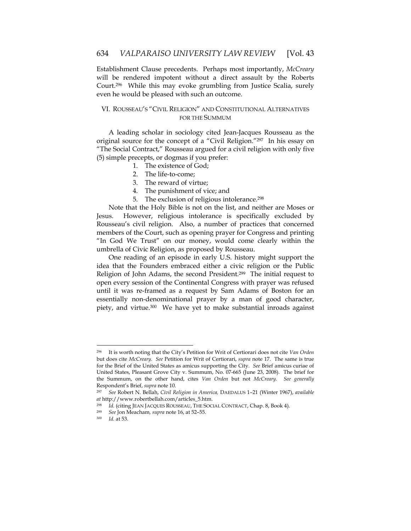Establishment Clause precedents. Perhaps most importantly, *McCreary* will be rendered impotent without a direct assault by the Roberts Court.296 While this may evoke grumbling from Justice Scalia, surely even he would be pleased with such an outcome.

## VI. ROUSSEAU'S "CIVIL RELIGION" AND CONSTITUTIONAL ALTERNATIVES FOR THE SUMMUM

A leading scholar in sociology cited Jean-Jacques Rousseau as the original source for the concept of a "Civil Religion."297 In his essay on "The Social Contract," Rousseau argued for a civil religion with only five (5) simple precepts, or dogmas if you prefer:

- 1. The existence of God;
- 2. The life-to-come;
- 3. The reward of virtue;
- 4. The punishment of vice; and
- 5. The exclusion of religious intolerance.298

Note that the Holy Bible is not on the list, and neither are Moses or Jesus. However, religious intolerance is specifically excluded by Rousseau's civil religion. Also, a number of practices that concerned members of the Court, such as opening prayer for Congress and printing "In God We Trust" on our money, would come clearly within the umbrella of Civic Religion, as proposed by Rousseau.

One reading of an episode in early U.S. history might support the idea that the Founders embraced either a civic religion or the Public Religion of John Adams, the second President.299 The initial request to open every session of the Continental Congress with prayer was refused until it was re-framed as a request by Sam Adams of Boston for an essentially non-denominational prayer by a man of good character, piety, and virtue.<sup>300</sup> We have yet to make substantial inroads against

<sup>296</sup> It is worth noting that the City's Petition for Writ of Certiorari does not cite *Van Orden*  but does cite *McCreary. See* Petition for Writ of Certiorari, *supra* note 17. The same is true for the Brief of the United States as amicus supporting the City. *See* Brief amicus curiae of United States, Pleasant Grove City v. Summum, No. 07-665 (June 23, 2008). The brief for the Summum, on the other hand, cites *Van Orden* but not *McCreary. See generally*  Respondent's Brief, *supra* note 10.

<sup>297</sup> *See* Robert N. Bellah, *Civil Religion in America,* DAEDALUS 1–21 (Winter 1967), *available at* http://www.robertbellah.com/articles\_5.htm.

<sup>298</sup> *Id.* (citing JEAN JACQUES ROUSSEAU, THE SOCIAL CONTRACT, Chap. 8, Book 4).

<sup>299</sup> *See* Jon Meacham*, supra* note 16, at 52–55. 300 *Id.* at 53.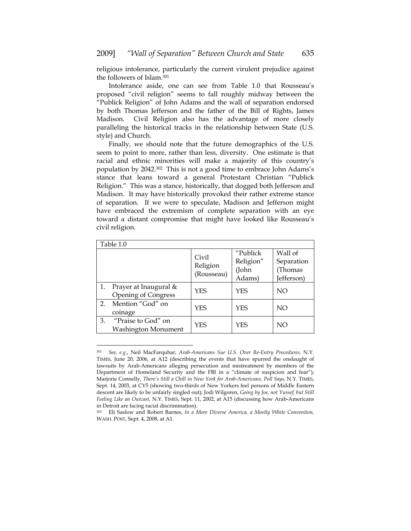religious intolerance, particularly the current virulent prejudice against the followers of Islam.301

Intolerance aside, one can see from Table 1.0 that Rousseau's proposed "civil religion" seems to fall roughly midway between the "Publick Religion" of John Adams and the wall of separation endorsed by both Thomas Jefferson and the father of the Bill of Rights, James Madison. Civil Religion also has the advantage of more closely paralleling the historical tracks in the relationship between State (U.S. style) and Church.

Finally, we should note that the future demographics of the U.S. seem to point to more, rather than less, diversity. One estimate is that racial and ethnic minorities will make a majority of this country's population by 2042.302 This is not a good time to embrace John Adams's stance that leans toward a general Protestant Christian "Publick Religion." This was a stance, historically, that dogged both Jefferson and Madison. It may have historically provoked their rather extreme stance of separation. If we were to speculate, Madison and Jefferson might have embraced the extremism of complete separation with an eye toward a distant compromise that might have looked like Rousseau's civil religion.

| Table 1.0 |                                                     |                                 |                                          |                                                |  |  |
|-----------|-----------------------------------------------------|---------------------------------|------------------------------------------|------------------------------------------------|--|--|
|           |                                                     | Civil<br>Religion<br>(Rousseau) | "Publick<br>Religion"<br>(John<br>Adams) | Wall of<br>Separation<br>(Thomas<br>Jefferson) |  |  |
|           | Prayer at Inaugural &<br><b>Opening of Congress</b> | YES                             | YES                                      | NO.                                            |  |  |
| 2.        | Mention "God" on<br>coinage                         | YES                             | YES                                      | NO.                                            |  |  |
| 3.        | "Praise to God" on<br>Washington Monument           | YES                             | YFS                                      | NO                                             |  |  |

<sup>301</sup> *See, e.g.*, Neil MacFarquhar, *Arab-Americans Sue U.S. Over Re-Entry Procedures,* N.Y. TIMES, June 20, 2006, at A12 (describing the events that have spurred the onslaught of lawsuits by Arab-Americans alleging persecution and mistreatment by members of the Department of Homeland Security and the FBI in a "climate of suspicion and fear"); Marjorie Connelly, *There's Still a Chill in New York for Arab-Americans, Poll Says,* N.Y. TIMES, Sept. 14, 2003, at CY5 (showing two-thirds of New Yorkers feel persons of Middle Eastern descent are likely to be unfairly singled out); Jodi Wilgoren, *Going by Joe, not Yussef, but Still Feeling Like an Outcast,* N.Y. TIMES, Sept. 11, 2002, at A15 (discussing how Arab-Americans in Detroit are facing racial discrimination).

<sup>302</sup> Eli Saslow and Robert Barnes, *In a More Diverse America, a Mostly White Convention,* WASH. POST, Sept. 4, 2008, at A1.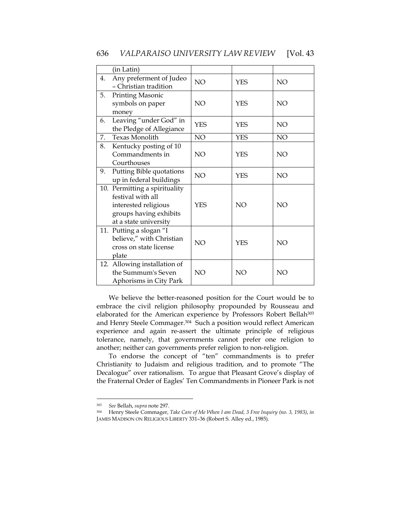## 636 *VALPARAISO UNIVERSITY LAW REVIEW* [Vol. 43

|    | (in Latin)                                                                                                                    |                 |            |                 |
|----|-------------------------------------------------------------------------------------------------------------------------------|-----------------|------------|-----------------|
| 4. | Any preferment of Judeo<br>- Christian tradition                                                                              | NO.             | <b>YES</b> | <b>NO</b>       |
| 5. | Printing Masonic<br>symbols on paper<br>money                                                                                 | <b>NO</b>       | <b>YES</b> | <b>NO</b>       |
| 6. | Leaving "under God" in<br>the Pledge of Allegiance                                                                            | <b>YES</b>      | <b>YES</b> | NO <sub>1</sub> |
| 7. | <b>Texas Monolith</b>                                                                                                         | NO.             | <b>YES</b> | NO              |
| 8. | Kentucky posting of 10<br>Commandments in<br>Courthouses                                                                      | NO.             | <b>YES</b> | <b>NO</b>       |
| 9. | Putting Bible quotations<br>up in federal buildings                                                                           | NO              | <b>YES</b> | NO <sub>1</sub> |
|    | 10. Permitting a spirituality<br>festival with all<br>interested religious<br>groups having exhibits<br>at a state university | <b>YES</b>      | NO         | <b>NO</b>       |
|    | 11. Putting a slogan "I<br>believe," with Christian<br>cross on state license<br>plate                                        | NO              | <b>YES</b> | <b>NO</b>       |
|    | 12. Allowing installation of<br>the Summum's Seven<br>Aphorisms in City Park                                                  | NO <sub>1</sub> | NO         | NO              |

We believe the better-reasoned position for the Court would be to embrace the civil religion philosophy propounded by Rousseau and elaborated for the American experience by Professors Robert Bellah<sup>303</sup> and Henry Steele Commager.304 Such a position would reflect American experience and again re-assert the ultimate principle of religious tolerance, namely, that governments cannot prefer one religion to another; neither can governments prefer religion to non-religion.

To endorse the concept of "ten" commandments is to prefer Christianity to Judaism and religious tradition, and to promote "The Decalogue" over rationalism. To argue that Pleasant Grove's display of the Fraternal Order of Eagles' Ten Commandments in Pioneer Park is not

<sup>303</sup> *See* Bellah, *supra* note 297.

<sup>304</sup> Henry Steele Commager, *Take Care of Me When I am Dead, 3 Free Inquiry (no. 3, 1983)*, *in* JAMES MADISON ON RELIGIOUS LIBERTY 331–36 (Robert S. Alley ed., 1985).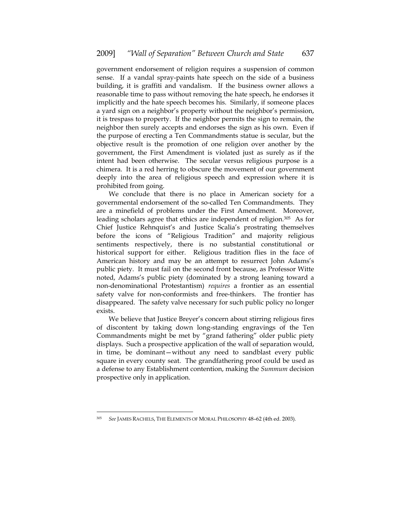government endorsement of religion requires a suspension of common sense. If a vandal spray-paints hate speech on the side of a business building, it is graffiti and vandalism. If the business owner allows a reasonable time to pass without removing the hate speech, he endorses it implicitly and the hate speech becomes his. Similarly, if someone places a yard sign on a neighbor's property without the neighbor's permission, it is trespass to property. If the neighbor permits the sign to remain, the neighbor then surely accepts and endorses the sign as his own. Even if the purpose of erecting a Ten Commandments statue is secular, but the objective result is the promotion of one religion over another by the government, the First Amendment is violated just as surely as if the intent had been otherwise. The secular versus religious purpose is a chimera. It is a red herring to obscure the movement of our government deeply into the area of religious speech and expression where it is prohibited from going.

We conclude that there is no place in American society for a governmental endorsement of the so-called Ten Commandments. They are a minefield of problems under the First Amendment. Moreover, leading scholars agree that ethics are independent of religion.305 As for Chief Justice Rehnquist's and Justice Scalia's prostrating themselves before the icons of "Religious Tradition" and majority religious sentiments respectively, there is no substantial constitutional or historical support for either. Religious tradition flies in the face of American history and may be an attempt to resurrect John Adams's public piety. It must fail on the second front because, as Professor Witte noted, Adams's public piety (dominated by a strong leaning toward a non-denominational Protestantism) *requires* a frontier as an essential safety valve for non-conformists and free-thinkers. The frontier has disappeared. The safety valve necessary for such public policy no longer exists.

We believe that Justice Breyer's concern about stirring religious fires of discontent by taking down long-standing engravings of the Ten Commandments might be met by "grand fathering" older public piety displays. Such a prospective application of the wall of separation would, in time, be dominant—without any need to sandblast every public square in every county seat. The grandfathering proof could be used as a defense to any Establishment contention, making the *Summum* decision prospective only in application.

<sup>305</sup> *See* JAMES RACHELS, THE ELEMENTS OF MORAL PHILOSOPHY 48–62 (4th ed. 2003).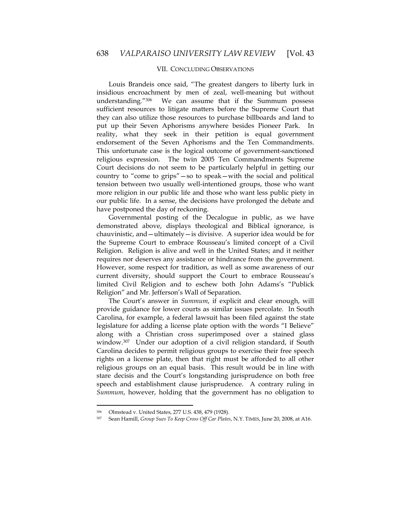## VII. CONCLUDING OBSERVATIONS

Louis Brandeis once said, "The greatest dangers to liberty lurk in insidious encroachment by men of zeal, well-meaning but without understanding."306 We can assume that if the Summum possess sufficient resources to litigate matters before the Supreme Court that they can also utilize those resources to purchase billboards and land to put up their Seven Aphorisms anywhere besides Pioneer Park. In reality, what they seek in their petition is equal government endorsement of the Seven Aphorisms and the Ten Commandments. This unfortunate case is the logical outcome of government-sanctioned religious expression. The twin 2005 Ten Commandments Supreme Court decisions do not seem to be particularly helpful in getting our country to "come to grips"—so to speak—with the social and political tension between two usually well-intentioned groups, those who want more religion in our public life and those who want less public piety in our public life. In a sense, the decisions have prolonged the debate and have postponed the day of reckoning.

Governmental posting of the Decalogue in public, as we have demonstrated above, displays theological and Biblical ignorance, is chauvinistic, and—ultimately—is divisive. A superior idea would be for the Supreme Court to embrace Rousseau's limited concept of a Civil Religion. Religion is alive and well in the United States; and it neither requires nor deserves any assistance or hindrance from the government. However, some respect for tradition, as well as some awareness of our current diversity, should support the Court to embrace Rousseau's limited Civil Religion and to eschew both John Adams's "Publick Religion" and Mr. Jefferson's Wall of Separation.

The Court's answer in *Summum*, if explicit and clear enough, will provide guidance for lower courts as similar issues percolate. In South Carolina, for example, a federal lawsuit has been filed against the state legislature for adding a license plate option with the words "I Believe" along with a Christian cross superimposed over a stained glass window.307 Under our adoption of a civil religion standard, if South Carolina decides to permit religious groups to exercise their free speech rights on a license plate, then that right must be afforded to all other religious groups on an equal basis. This result would be in line with stare decisis and the Court's longstanding jurisprudence on both free speech and establishment clause jurisprudence. A contrary ruling in *Summum*, however, holding that the government has no obligation to

<sup>306</sup> Olmstead v. United States, 277 U.S. 438, 479 (1928).

<sup>307</sup> Sean Hamill, *Group Sues To Keep Cross Off Car Plates*, N.Y. TIMES, June 20, 2008, at A16.